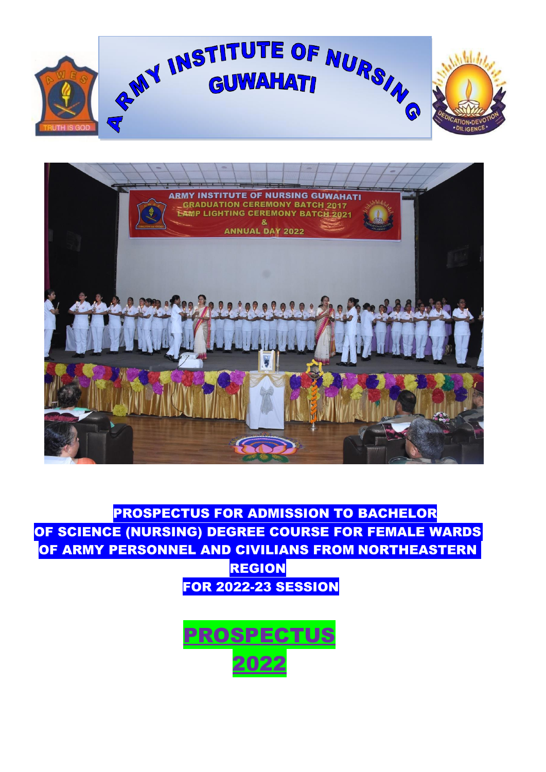



PROSPECTUS FOR ADMISSION TO BACHELOR OF SCIENCE (NURSING) DEGREE COURSE FOR FEMALE WARDS OF ARMY PERSONNEL AND CIVILIANS FROM NORTHEASTERN REGION FOR 2022-23 SESSION

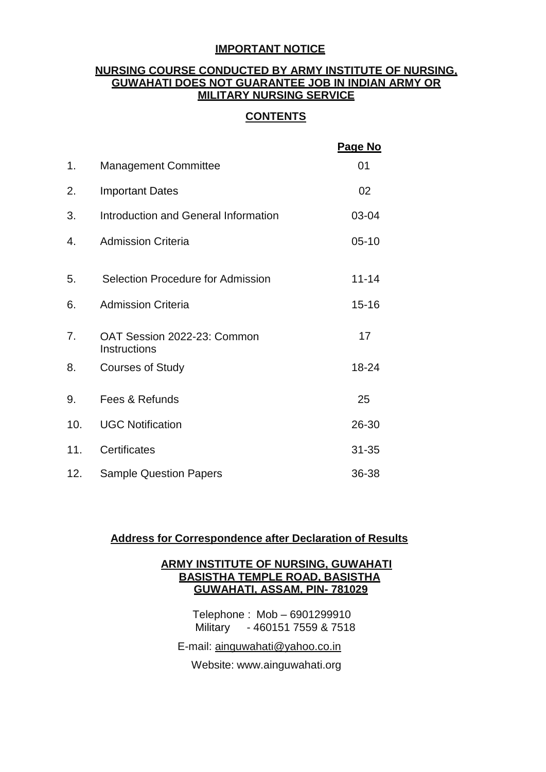### **IMPORTANT NOTICE**

### **NURSING COURSE CONDUCTED BY ARMY INSTITUTE OF NURSING, GUWAHATI DOES NOT GUARANTEE JOB IN INDIAN ARMY OR MILITARY NURSING SERVICE**

### **CONTENTS**

|     |                                             | Page No   |
|-----|---------------------------------------------|-----------|
| 1.  | <b>Management Committee</b>                 | 01        |
| 2.  | <b>Important Dates</b>                      | 02        |
| 3.  | Introduction and General Information        | 03-04     |
| 4.  | <b>Admission Criteria</b>                   | $05 - 10$ |
|     |                                             |           |
| 5.  | Selection Procedure for Admission           | $11 - 14$ |
| 6.  | <b>Admission Criteria</b>                   | $15 - 16$ |
| 7.  | OAT Session 2022-23: Common<br>Instructions | 17        |
| 8.  | <b>Courses of Study</b>                     | 18-24     |
| 9.  | Fees & Refunds                              | 25        |
| 10. | <b>UGC Notification</b>                     | 26-30     |
| 11. | Certificates                                | $31 - 35$ |
| 12. | <b>Sample Question Papers</b>               | 36-38     |

### **Address for Correspondence after Declaration of Results**

### **ARMY INSTITUTE OF NURSING, GUWAHATI BASISTHA TEMPLE ROAD, BASISTHA GUWAHATI, ASSAM, PIN- 781029**

 Telephone : Mob – 6901299910 Military - 460151 7559 & 7518

E-mail: [ainguwahati@yahoo.co.in](mailto:ainguwahati@yahoo.co.in)

Website: [www.ainguwahati.org](http://www.ainguwahati.org/)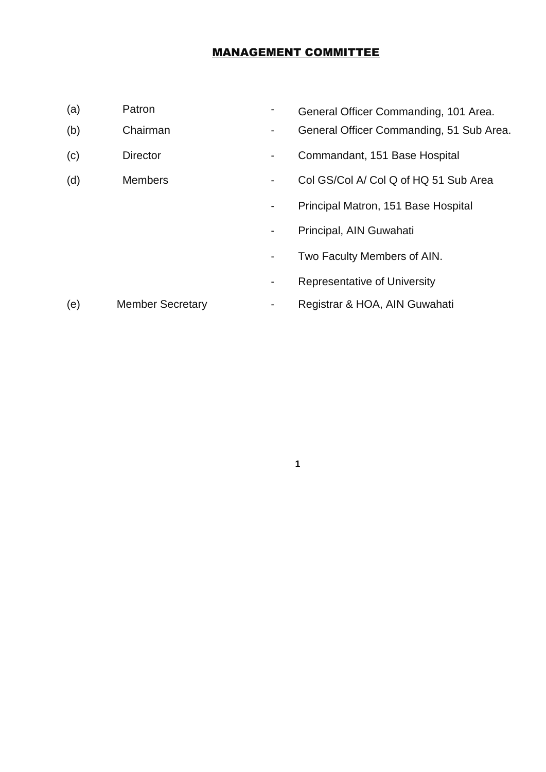# MANAGEMENT COMMITTEE

- 
- 
- 
- 
- (a) Patron Francesco Commanding, 101 Area.
- (b) Chairman General Officer Commanding, 51 Sub Area.
- (c) Director  **Commandant, 151 Base Hospital**
- (d) Members Col GS/Col A/ Col Q of HQ 51 Sub Area
	- Principal Matron, 151 Base Hospital
	- Principal, AIN Guwahati
	- Two Faculty Members of AIN.
	- Representative of University

# (e) Member Secretary - Registrar & HOA, AIN Guwahati

**1**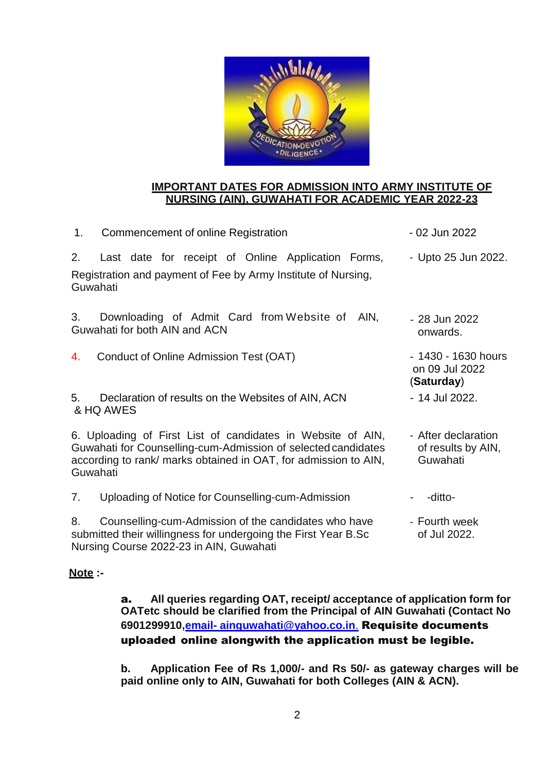

### **IMPORTANT DATES FOR ADMISSION INTO ARMY INSTITUTE OF NURSING (AIN), GUWAHATI FOR ACADEMIC YEAR 2022-23**

| 1.<br>Commencement of online Registration                                                                                                                                                                   | - 02 Jun 2022                                         |
|-------------------------------------------------------------------------------------------------------------------------------------------------------------------------------------------------------------|-------------------------------------------------------|
| 2.<br>Last date for receipt of Online Application Forms,<br>Registration and payment of Fee by Army Institute of Nursing,<br>Guwahati                                                                       | - Upto 25 Jun 2022.                                   |
| 3.<br>Downloading of Admit Card from Website of<br>Guwahati for both AIN and ACN                                                                                                                            | AIN.<br>- 28 Jun 2022<br>onwards.                     |
| Conduct of Online Admission Test (OAT)<br>4.                                                                                                                                                                | - 1430 - 1630 hours<br>on 09 Jul 2022<br>(Saturday)   |
| 5.<br>Declaration of results on the Websites of AIN, ACN<br>& HQ AWES                                                                                                                                       | - 14 Jul 2022.                                        |
| 6. Uploading of First List of candidates in Website of AIN,<br>Guwahati for Counselling-cum-Admission of selected candidates<br>according to rank/ marks obtained in OAT, for admission to AIN,<br>Guwahati | - After declaration<br>of results by AIN,<br>Guwahati |
| 7.<br>Uploading of Notice for Counselling-cum-Admission                                                                                                                                                     | -ditto-                                               |
| Counselling-cum-Admission of the candidates who have<br>8.<br>submitted their willingness for undergoing the First Year B.Sc<br>Nursing Course 2022-23 in AIN, Guwahati                                     | - Fourth week<br>of Jul 2022.                         |

### **Note :-**

a. **All queries regarding OAT, receipt/ acceptance of application form for OATetc should be clarified from the Principal of AIN Guwahati (Contact No 6901299910,email- [ainguwahati@yahoo.co.in](mailto:email-%20ainguwahati@yahoo.co.in.)**. [Requisite d](mailto:emailainguwahati@yahoo.co.in.Requisite)ocuments uploaded online alongwith the application must be legible.

**b. Application Fee of Rs 1,000/- and Rs 50/- as gateway charges will be paid online only to AIN, Guwahati for both Colleges (AIN & ACN).**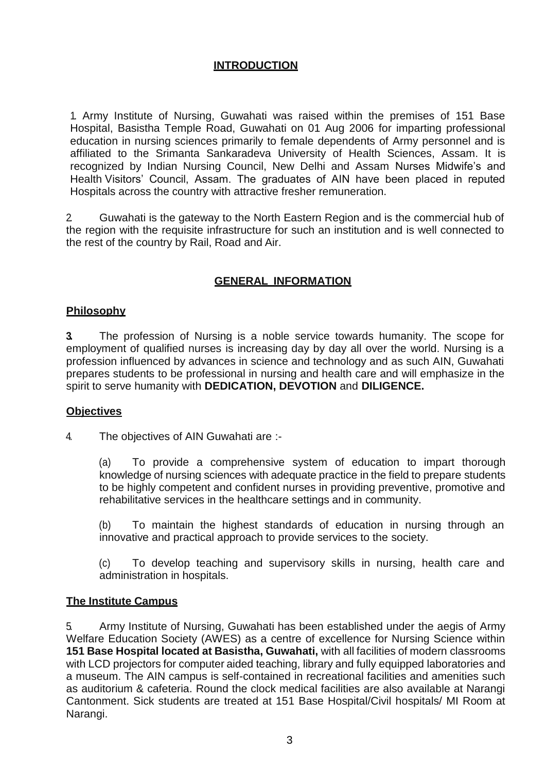### **INTRODUCTION**

1. Army Institute of Nursing, Guwahati was raised within the premises of 151 Base Hospital, Basistha Temple Road, Guwahati on 01 Aug 2006 for imparting professional education in nursing sciences primarily to female dependents of Army personnel and is affiliated to the Srimanta Sankaradeva University of Health Sciences, Assam. It is recognized by Indian Nursing Council, New Delhi and Assam Nurses Midwife's and Health Visitors' Council, Assam. The graduates of AIN have been placed in reputed Hospitals across the country with attractive fresher remuneration.

2. Guwahati is the gateway to the North Eastern Region and is the commercial hub of the region with the requisite infrastructure for such an institution and is well connected to the rest of the country by Rail, Road and Air.

### **GENERAL INFORMATION**

### **Philosophy**

**3.** The profession of Nursing is a noble service towards humanity. The scope for employment of qualified nurses is increasing day by day all over the world. Nursing is a profession influenced by advances in science and technology and as such AIN, Guwahati prepares students to be professional in nursing and health care and will emphasize in the spirit to serve humanity with **DEDICATION, DEVOTION** and **DILIGENCE.**

### **Objectives**

4. The objectives of AIN Guwahati are :-

(a) To provide a comprehensive system of education to impart thorough knowledge of nursing sciences with adequate practice in the field to prepare students to be highly competent and confident nurses in providing preventive, promotive and rehabilitative services in the healthcare settings and in community.

(b) To maintain the highest standards of education in nursing through an innovative and practical approach to provide services to the society.

(c) To develop teaching and supervisory skills in nursing, health care and administration in hospitals.

### **The Institute Campus**

5. Army Institute of Nursing, Guwahati has been established under the aegis of Army Welfare Education Society (AWES) as a centre of excellence for Nursing Science within **151 Base Hospital located at Basistha, Guwahati,** with all facilities of modern classrooms with LCD projectors for computer aided teaching, library and fully equipped laboratories and a museum. The AIN campus is self-contained in recreational facilities and amenities such as auditorium & cafeteria. Round the clock medical facilities are also available at Narangi Cantonment. Sick students are treated at 151 Base Hospital/Civil hospitals/ MI Room at Narangi.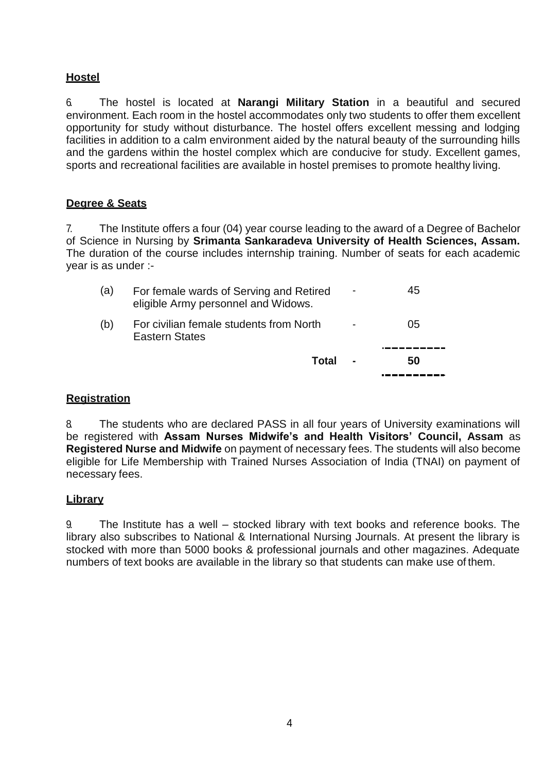# **Hostel**

6. The hostel is located at **Narangi Military Station** in a beautiful and secured environment. Each room in the hostel accommodates only two students to offer them excellent opportunity for study without disturbance. The hostel offers excellent messing and lodging facilities in addition to a calm environment aided by the natural beauty of the surrounding hills and the gardens within the hostel complex which are conducive for study. Excellent games, sports and recreational facilities are available in hostel premises to promote healthy living.

### **Degree & Seats**

7. The Institute offers a four (04) year course leading to the award of a Degree of Bachelor of Science in Nursing by **Srimanta Sankaradeva University of Health Sciences, Assam.** The duration of the course includes internship training. Number of seats for each academic year is as under :-

|     | <b>Total</b>                                                                   | 50 |
|-----|--------------------------------------------------------------------------------|----|
| (b) | For civilian female students from North<br>Eastern States                      | 05 |
| (a) | For female wards of Serving and Retired<br>eligible Army personnel and Widows. | 45 |

### **Registration**

8. The students who are declared PASS in all four years of University examinations will be registered with **Assam Nurses Midwife's and Health Visitors' Council, Assam** as **Registered Nurse and Midwife** on payment of necessary fees. The students will also become eligible for Life Membership with Trained Nurses Association of India (TNAI) on payment of necessary fees.

### **Library**

9. The Institute has a well – stocked library with text books and reference books. The library also subscribes to National & International Nursing Journals. At present the library is stocked with more than 5000 books & professional journals and other magazines. Adequate numbers of text books are available in the library so that students can make use of them.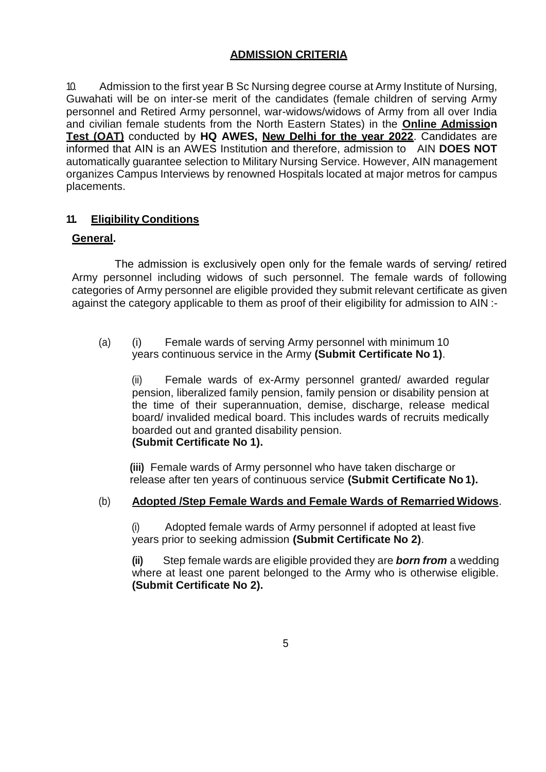### **ADMISSION CRITERIA**

10. Admission to the first year B Sc Nursing degree course at Army Institute of Nursing, Guwahati will be on inter-se merit of the candidates (female children of serving Army personnel and Retired Army personnel, war-widows/widows of Army from all over India and civilian female students from the North Eastern States) in the **Online Admission Test (OAT)** conducted by **HQ AWES, New Delhi for the year 2022**. Candidates are informed that AIN is an AWES Institution and therefore, admission to AIN **DOES NOT** automatically guarantee selection to Military Nursing Service. However, AIN management organizes Campus Interviews by renowned Hospitals located at major metros for campus placements.

### **11. Eligibility Conditions**

### **General.**

The admission is exclusively open only for the female wards of serving/ retired Army personnel including widows of such personnel. The female wards of following categories of Army personnel are eligible provided they submit relevant certificate as given against the category applicable to them as proof of their eligibility for admission to AIN :-

(a) (i) Female wards of serving Army personnel with minimum 10 years continuous service in the Army **(Submit Certificate No 1)**.

(ii) Female wards of ex-Army personnel granted/ awarded regular pension, liberalized family pension, family pension or disability pension at the time of their superannuation, demise, discharge, release medical board/ invalided medical board. This includes wards of recruits medically boarded out and granted disability pension. **(Submit Certificate No 1).**

**(iii)** Female wards of Army personnel who have taken discharge or release after ten years of continuous service **(Submit Certificate No 1).**

### (b) **Adopted /Step Female Wards and Female Wards of Remarried Widows**.

(i) Adopted female wards of Army personnel if adopted at least five years prior to seeking admission **(Submit Certificate No 2)**.

**(ii)** Step female wards are eligible provided they are *born from* a wedding where at least one parent belonged to the Army who is otherwise eligible. **(Submit Certificate No 2).**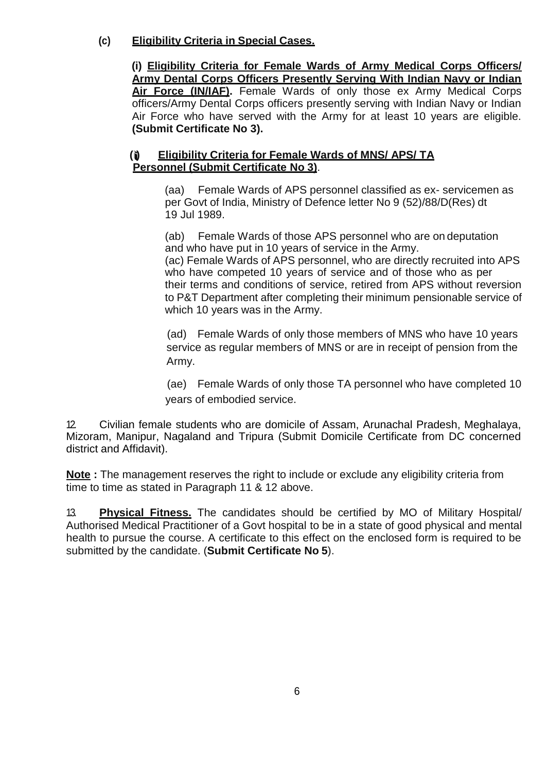# **(c) Eligibility Criteria in Special Cases.**

**(i) Eligibility Criteria for Female Wards of Army Medical Corps Officers/ Army Dental Corps Officers Presently Serving With Indian Navy or Indian Air Force (IN/IAF).** Female Wards of only those ex Army Medical Corps officers/Army Dental Corps officers presently serving with Indian Navy or Indian Air Force who have served with the Army for at least 10 years are eligible. **(Submit Certificate No 3).**

#### **(i Eligibility Criteria for Female Wards of MNS/ APS/ TA Personnel (Submit Certificate No 3)**.

(aa) Female Wards of APS personnel classified as ex- servicemen as per Govt of India, Ministry of Defence letter No 9 (52)/88/D(Res) dt 19 Jul 1989.

(ab) Female Wards of those APS personnel who are on deputation and who have put in 10 years of service in the Army.

(ac) Female Wards of APS personnel, who are directly recruited into APS who have competed 10 years of service and of those who as per their terms and conditions of service, retired from APS without reversion to P&T Department after completing their minimum pensionable service of which 10 years was in the Army.

(ad) Female Wards of only those members of MNS who have 10 years service as regular members of MNS or are in receipt of pension from the Army.

(ae) Female Wards of only those TA personnel who have completed 10 years of embodied service.

12. Civilian female students who are domicile of Assam, Arunachal Pradesh, Meghalaya, Mizoram, Manipur, Nagaland and Tripura (Submit Domicile Certificate from DC concerned district and Affidavit).

**Note :** The management reserves the right to include or exclude any eligibility criteria from time to time as stated in Paragraph 11 & 12 above.

13. **Physical Fitness.** The candidates should be certified by MO of Military Hospital/ Authorised Medical Practitioner of a Govt hospital to be in a state of good physical and mental health to pursue the course. A certificate to this effect on the enclosed form is required to be submitted by the candidate. (**Submit Certificate No 5**).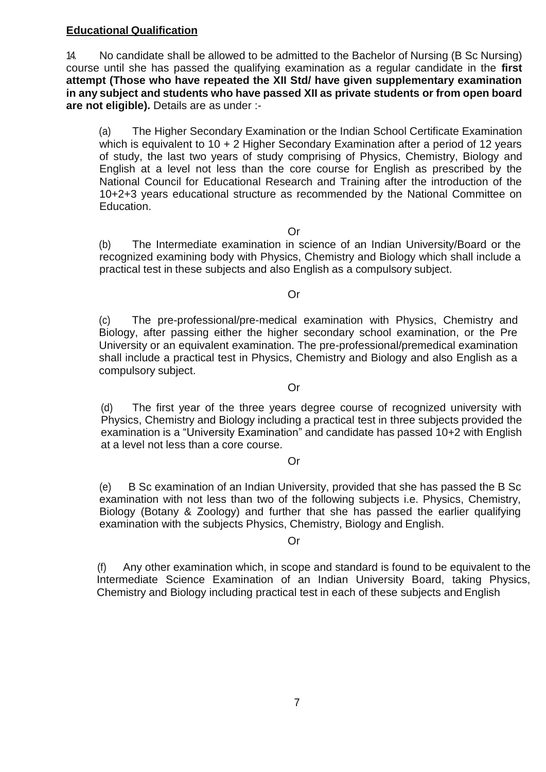### **Educational Qualification**

14. No candidate shall be allowed to be admitted to the Bachelor of Nursing (B Sc Nursing) course until she has passed the qualifying examination as a regular candidate in the **first attempt (Those who have repeated the XII Std/ have given supplementary examination in any subject and students who have passed XII as private students or from open board are not eligible).** Details are as under :-

(a) The Higher Secondary Examination or the Indian School Certificate Examination which is equivalent to 10 + 2 Higher Secondary Examination after a period of 12 years of study, the last two years of study comprising of Physics, Chemistry, Biology and English at a level not less than the core course for English as prescribed by the National Council for Educational Research and Training after the introduction of the 10+2+3 years educational structure as recommended by the National Committee on Education.

Or

(b) The Intermediate examination in science of an Indian University/Board or the recognized examining body with Physics, Chemistry and Biology which shall include a practical test in these subjects and also English as a compulsory subject.

Or

(c) The pre-professional/pre-medical examination with Physics, Chemistry and Biology, after passing either the higher secondary school examination, or the Pre University or an equivalent examination. The pre-professional/premedical examination shall include a practical test in Physics, Chemistry and Biology and also English as a compulsory subject.

Or

(d) The first year of the three years degree course of recognized university with Physics, Chemistry and Biology including a practical test in three subjects provided the examination is a "University Examination" and candidate has passed 10+2 with English at a level not less than a core course.

### Or

(e) B Sc examination of an Indian University, provided that she has passed the B Sc examination with not less than two of the following subjects i.e. Physics, Chemistry, Biology (Botany & Zoology) and further that she has passed the earlier qualifying examination with the subjects Physics, Chemistry, Biology and English.

### Or

(f) Any other examination which, in scope and standard is found to be equivalent to the Intermediate Science Examination of an Indian University Board, taking Physics, Chemistry and Biology including practical test in each of these subjects and English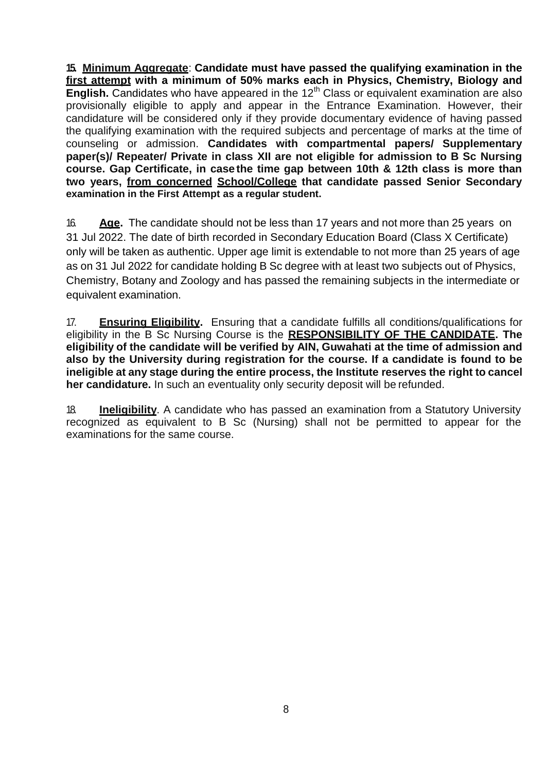**15. Minimum Aggregate**: **Candidate must have passed the qualifying examination in the first attempt with a minimum of 50% marks each in Physics, Chemistry, Biology and English.** Candidates who have appeared in the 12<sup>th</sup> Class or equivalent examination are also provisionally eligible to apply and appear in the Entrance Examination. However, their candidature will be considered only if they provide documentary evidence of having passed the qualifying examination with the required subjects and percentage of marks at the time of counseling or admission. **Candidates with compartmental papers/ Supplementary paper(s)/ Repeater/ Private in class XII are not eligible for admission to B Sc Nursing course. Gap Certificate, in case the time gap between 10th & 12th class is more than two years, from concerned School/College that candidate passed Senior Secondary examination in the First Attempt as a regular student.**

16. **Age.** The candidate should not be less than 17 years and not more than 25 years on 31 Jul 2022. The date of birth recorded in Secondary Education Board (Class X Certificate) only will be taken as authentic. Upper age limit is extendable to not more than 25 years of age as on 31 Jul 2022 for candidate holding B Sc degree with at least two subjects out of Physics, Chemistry, Botany and Zoology and has passed the remaining subjects in the intermediate or equivalent examination.

17. **Ensuring Eligibility.** Ensuring that a candidate fulfills all conditions/qualifications for eligibility in the B Sc Nursing Course is the **RESPONSIBILITY OF THE CANDIDATE. The eligibility of the candidate will be verified by AIN, Guwahati at the time of admission and also by the University during registration for the course. If a candidate is found to be ineligible at any stage during the entire process, the Institute reserves the right to cancel her candidature.** In such an eventuality only security deposit will be refunded.

18. **Ineligibility**. A candidate who has passed an examination from a Statutory University recognized as equivalent to B Sc (Nursing) shall not be permitted to appear for the examinations for the same course.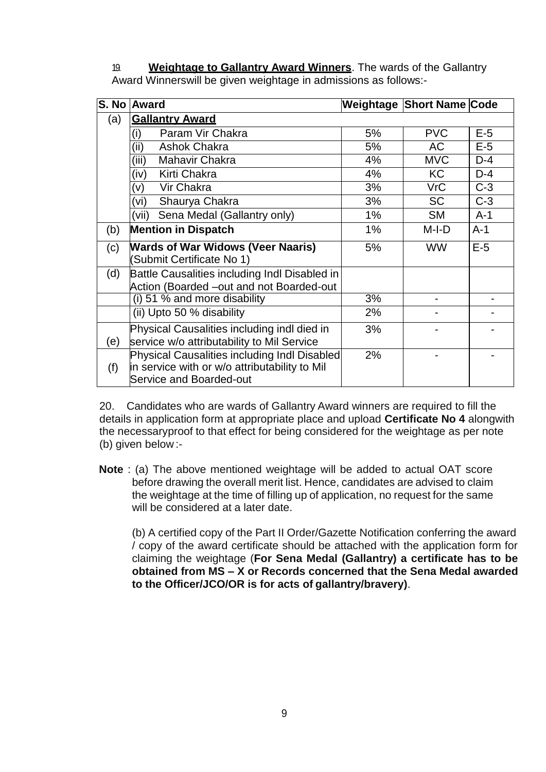19. **Weightage to Gallantry Award Winners**. The wards of the Gallantry Award Winnerswill be given weightage in admissions as follows:-

|     | S. No Award                                                                                                              |       | Weightage Short Name Code |       |
|-----|--------------------------------------------------------------------------------------------------------------------------|-------|---------------------------|-------|
| (a) | <b>Gallantry Award</b>                                                                                                   |       |                           |       |
|     | Param Vir Chakra<br>(i)                                                                                                  | 5%    | <b>PVC</b>                | $E-5$ |
|     | (ii)<br><b>Ashok Chakra</b>                                                                                              | 5%    | AC                        | $E-5$ |
|     | (iii)<br>Mahavir Chakra                                                                                                  | 4%    | <b>MVC</b>                | $D-4$ |
|     | Kirti Chakra<br>(iv)                                                                                                     | 4%    | KC                        | $D-4$ |
|     | Vir Chakra<br>(v)                                                                                                        | 3%    | <b>VrC</b>                | $C-3$ |
|     | Shaurya Chakra<br>(vi)                                                                                                   | 3%    | <b>SC</b>                 | $C-3$ |
|     | Sena Medal (Gallantry only)<br>(vii)                                                                                     | 1%    | <b>SM</b>                 | $A-1$ |
| (b) | <b>Mention in Dispatch</b>                                                                                               | $1\%$ | $M-I-D$                   | $A-1$ |
| (c) | <b>Wards of War Widows (Veer Naaris)</b><br>Submit Certificate No 1)                                                     | 5%    | <b>WW</b>                 | $E-5$ |
| (d) | Battle Causalities including Indl Disabled in<br>Action (Boarded -out and not Boarded-out                                |       |                           |       |
|     | (i) 51 % and more disability                                                                                             | 3%    |                           |       |
|     | (ii) Upto 50 % disability                                                                                                | 2%    |                           |       |
| (e) | Physical Causalities including indl died in<br>service w/o attributability to Mil Service                                | 3%    |                           |       |
| (f) | Physical Causalities including Indl Disabled<br>in service with or w/o attributability to Mil<br>Service and Boarded-out | 2%    |                           |       |

20. Candidates who are wards of Gallantry Award winners are required to fill the details in application form at appropriate place and upload **Certificate No 4** alongwith the necessaryproof to that effect for being considered for the weightage as per note (b) given below :-

**Note** : (a) The above mentioned weightage will be added to actual OAT score before drawing the overall merit list. Hence, candidates are advised to claim the weightage at the time of filling up of application, no request for the same will be considered at a later date.

(b) A certified copy of the Part II Order/Gazette Notification conferring the award / copy of the award certificate should be attached with the application form for claiming the weightage (**For Sena Medal (Gallantry) a certificate has to be obtained from MS – X or Records concerned that the Sena Medal awarded to the Officer/JCO/OR is for acts of gallantry/bravery)**.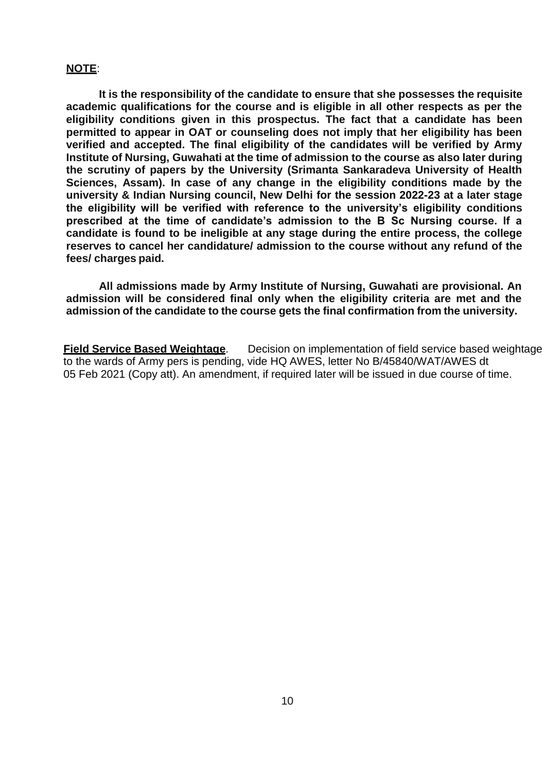### **NOTE**:

**It is the responsibility of the candidate to ensure that she possesses the requisite academic qualifications for the course and is eligible in all other respects as per the eligibility conditions given in this prospectus. The fact that a candidate has been permitted to appear in OAT or counseling does not imply that her eligibility has been verified and accepted. The final eligibility of the candidates will be verified by Army Institute of Nursing, Guwahati at the time of admission to the course as also later during the scrutiny of papers by the University (Srimanta Sankaradeva University of Health Sciences, Assam). In case of any change in the eligibility conditions made by the university & Indian Nursing council, New Delhi for the session 2022-23 at a later stage the eligibility will be verified with reference to the university's eligibility conditions prescribed at the time of candidate's admission to the B Sc Nursing course. If a candidate is found to be ineligible at any stage during the entire process, the college reserves to cancel her candidature/ admission to the course without any refund of the fees/ charges paid.**

**All admissions made by Army Institute of Nursing, Guwahati are provisional. An admission will be considered final only when the eligibility criteria are met and the admission of the candidate to the course gets the final confirmation from the university.**

**Field Service Based Weightage**. Decision on implementation of field service based weightage to the wards of Army pers is pending, vide HQ AWES, letter No B/45840/WAT/AWES dt 05 Feb 2021 (Copy att). An amendment, if required later will be issued in due course of time.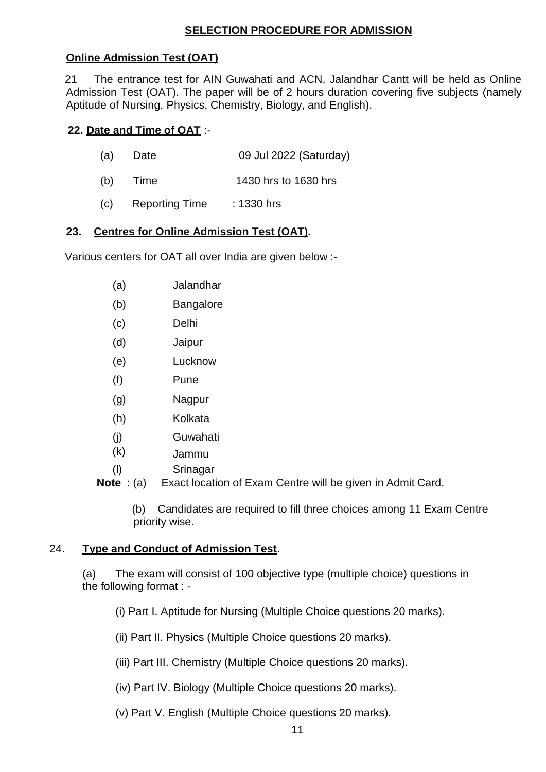### **SELECTION PROCEDURE FOR ADMISSION**

### **Online Admission Test (OAT)**

 21 The entrance test for AIN Guwahati and ACN, Jalandhar Cantt will be held as Online Admission Test (OAT). The paper will be of 2 hours duration covering five subjects (namely Aptitude of Nursing, Physics, Chemistry, Biology, and English).

### **22. Date and Time of OAT** :-

- (a) Date 09 Jul 2022 (Saturday)
- (b) Time 1430 hrs to 1630 hrs
- (c) Reporting Time : 1330 hrs

### **23. Centres for Online Admission Test (OAT).**

Various centers for OAT all over India are given below :-

- (a) Jalandhar
- (b) Bangalore
- (c) Delhi
- (d) Jaipur
- (e) Lucknow
- (f) Pune
- (g) Nagpur
- (h) Kolkata
- (j) Guwahati
- (k) Jammu
- (l) Srinagar

**Note** : (a) Exact location of Exam Centre will be given in Admit Card.

(b) Candidates are required to fill three choices among 11 Exam Centre priority wise.

### 24. **Type and Conduct of Admission Test**.

(a) The exam will consist of 100 objective type (multiple choice) questions in the following format : -

- (i) Part I. Aptitude for Nursing (Multiple Choice questions 20 marks).
- (ii) Part II. Physics (Multiple Choice questions 20 marks).
- (iii) Part III. Chemistry (Multiple Choice questions 20 marks).
- (iv) Part IV. Biology (Multiple Choice questions 20 marks).
- (v) Part V. English (Multiple Choice questions 20 marks).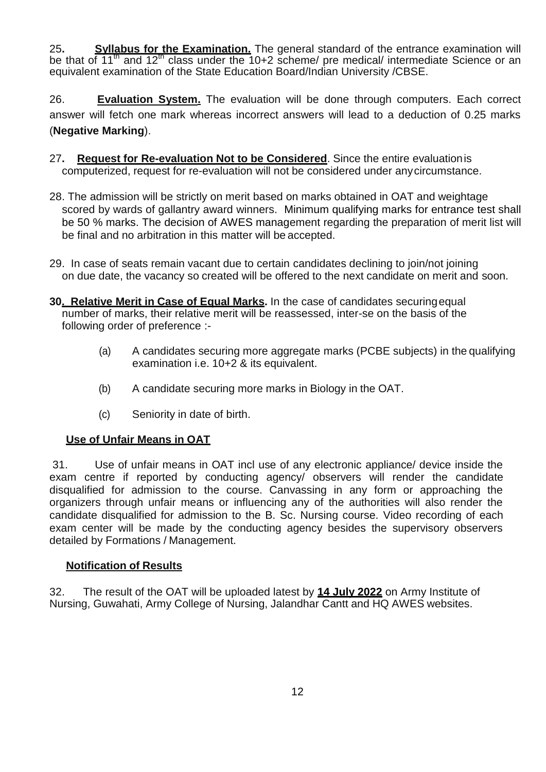25**. Syllabus for the Examination.** The general standard of the entrance examination will be that of  $11^{\text{th}}$  and  $12^{\text{th}}$  class under the 10+2 scheme/ pre medical/ intermediate Science or an equivalent examination of the State Education Board/Indian University /CBSE.

26. **Evaluation System.** The evaluation will be done through computers. Each correct answer will fetch one mark whereas incorrect answers will lead to a deduction of 0.25 marks (**Negative Marking**).

- 27**. Request for Re-evaluation Not to be Considered**. Since the entire evaluationis computerized, request for re-evaluation will not be considered under anycircumstance.
- 28. The admission will be strictly on merit based on marks obtained in OAT and weightage scored by wards of gallantry award winners. Minimum qualifying marks for entrance test shall be 50 % marks. The decision of AWES management regarding the preparation of merit list will be final and no arbitration in this matter will be accepted.
- 29. In case of seats remain vacant due to certain candidates declining to join/not joining on due date, the vacancy so created will be offered to the next candidate on merit and soon.
- **30. Relative Merit in Case of Equal Marks.** In the case of candidates securingequal number of marks, their relative merit will be reassessed, inter-se on the basis of the following order of preference :-
	- (a) A candidates securing more aggregate marks (PCBE subjects) in the qualifying examination i.e. 10+2 & its equivalent.
	- (b) A candidate securing more marks in Biology in the OAT.
	- (c) Seniority in date of birth.

### **Use of Unfair Means in OAT**

31. Use of unfair means in OAT incl use of any electronic appliance/ device inside the exam centre if reported by conducting agency/ observers will render the candidate disqualified for admission to the course. Canvassing in any form or approaching the organizers through unfair means or influencing any of the authorities will also render the candidate disqualified for admission to the B. Sc. Nursing course. Video recording of each exam center will be made by the conducting agency besides the supervisory observers detailed by Formations / Management.

### **Notification of Results**

32. The result of the OAT will be uploaded latest by **14 July 2022** on Army Institute of Nursing, Guwahati, Army College of Nursing, Jalandhar Cantt and HQ AWES websites.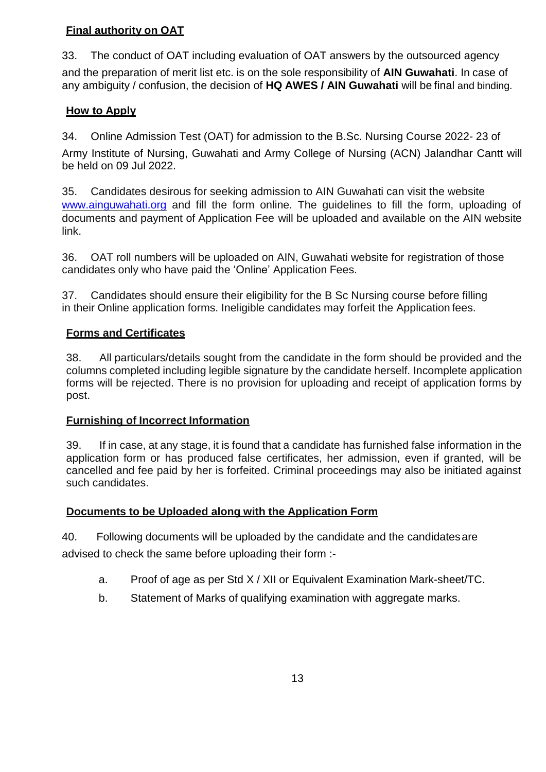# **Final authority on OAT**

33. The conduct of OAT including evaluation of OAT answers by the outsourced agency and the preparation of merit list etc. is on the sole responsibility of **AIN Guwahati**. In case of any ambiguity / confusion, the decision of **HQ AWES / AIN Guwahati** will be final and binding.

# **How to Apply**

34. Online Admission Test (OAT) for admission to the B.Sc. Nursing Course 2022- 23 of Army Institute of Nursing, Guwahati and Army College of Nursing (ACN) Jalandhar Cantt will be held on 09 Jul 2022.

35. Candidates desirous for seeking admission to AIN Guwahati can visit the website [www.ainguwahati.org](http://www.ainguwahati.org/) and fill the form online. The guidelines to fill the form, uploading of documents and payment of Application Fee will be uploaded and available on the AIN website link.

36. OAT roll numbers will be uploaded on AIN, Guwahati website for registration of those candidates only who have paid the 'Online' Application Fees.

37. Candidates should ensure their eligibility for the B Sc Nursing course before filling in their Online application forms. Ineligible candidates may forfeit the Application fees.

# **Forms and Certificates**

38. All particulars/details sought from the candidate in the form should be provided and the columns completed including legible signature by the candidate herself. Incomplete application forms will be rejected. There is no provision for uploading and receipt of application forms by post.

### **Furnishing of Incorrect Information**

39. If in case, at any stage, it is found that a candidate has furnished false information in the application form or has produced false certificates, her admission, even if granted, will be cancelled and fee paid by her is forfeited. Criminal proceedings may also be initiated against such candidates.

### **Documents to be Uploaded along with the Application Form**

40. Following documents will be uploaded by the candidate and the candidatesare advised to check the same before uploading their form :-

- a. Proof of age as per Std X / XII or Equivalent Examination Mark-sheet/TC.
- b. Statement of Marks of qualifying examination with aggregate marks.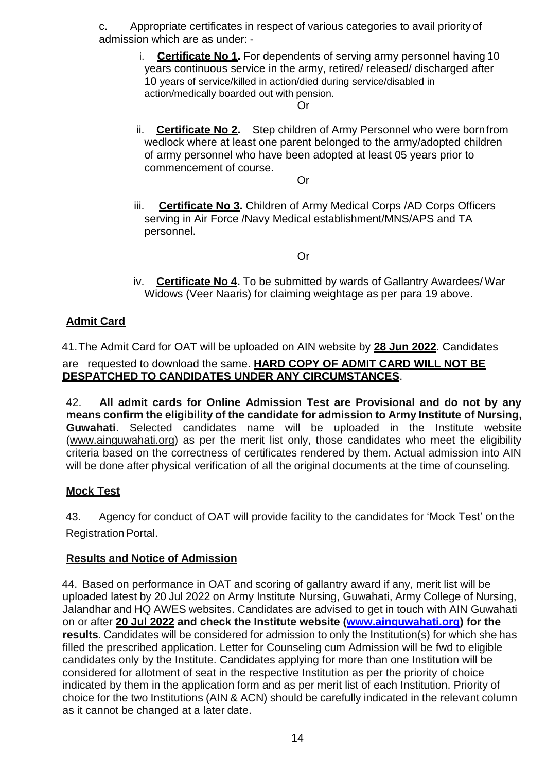c. Appropriate certificates in respect of various categories to avail priority of admission which are as under: -

> i. **Certificate No 1.** For dependents of serving army personnel having 10 years continuous service in the army, retired/ released/ discharged after 10 years of service/killed in action/died during service/disabled in action/medically boarded out with pension.

### Or

ii. **Certificate No 2.** Step children of Army Personnel who were bornfrom wedlock where at least one parent belonged to the army/adopted children of army personnel who have been adopted at least 05 years prior to commencement of course.

Or

iii. **Certificate No 3.** Children of Army Medical Corps /AD Corps Officers serving in Air Force /Navy Medical establishment/MNS/APS and TA personnel.

### Or

iv. **Certificate No 4.** To be submitted by wards of Gallantry Awardees/ War Widows (Veer Naaris) for claiming weightage as per para 19 above.

# **Admit Card**

41.The Admit Card for OAT will be uploaded on AIN website by **28 Jun 2022**. Candidates are requested to download the same. **HARD COPY OF ADMIT CARD WILL NOT BE DESPATCHED TO CANDIDATES UNDER ANY CIRCUMSTANCES**.

42. **All admit cards for Online Admission Test are Provisional and do not by any means confirm the eligibility of the candidate for admission to Army Institute of Nursing, Guwahati**. Selected candidates name will be uploaded in the Institute website [\(www.ainguwahati.org\)](http://www.ainguwahati.org/) as per the merit list only, those candidates who meet the eligibility criteria based on the correctness of certificates rendered by them. Actual admission into AIN will be done after physical verification of all the original documents at the time of counseling.

# **Mock Test**

43. Agency for conduct of OAT will provide facility to the candidates for 'Mock Test' on the Registration Portal.

### **Results and Notice of Admission**

44. Based on performance in OAT and scoring of gallantry award if any, merit list will be uploaded latest by 20 Jul 2022 on Army Institute Nursing, Guwahati, Army College of Nursing, Jalandhar and HQ AWES websites. Candidates are advised to get in touch with AIN Guwahati on or after **20 Jul 2022 and check the Institute website [\(www.ainguwahati.org\)](http://www.ainguwahati.org/) for the results**. Candidates will be considered for admission to only the Institution(s) for which she has filled the prescribed application. Letter for Counseling cum Admission will be fwd to eligible candidates only by the Institute. Candidates applying for more than one Institution will be considered for allotment of seat in the respective Institution as per the priority of choice indicated by them in the application form and as per merit list of each Institution. Priority of choice for the two Institutions (AIN & ACN) should be carefully indicated in the relevant column as it cannot be changed at a later date.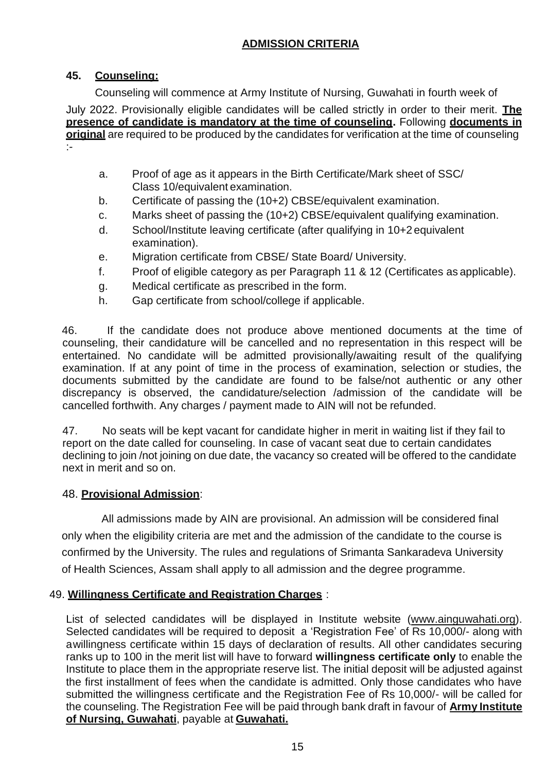# **ADMISSION CRITERIA**

### **45. Counseling:**

Counseling will commence at Army Institute of Nursing, Guwahati in fourth week of July 2022. Provisionally eligible candidates will be called strictly in order to their merit. **The presence of candidate is mandatory at the time of counseling.** Following **documents in original** are required to be produced by the candidates for verification at the time of counseling :-

- a. Proof of age as it appears in the Birth Certificate/Mark sheet of SSC/ Class 10/equivalent examination.
- b. Certificate of passing the (10+2) CBSE/equivalent examination.
- c. Marks sheet of passing the (10+2) CBSE/equivalent qualifying examination.
- d. School/Institute leaving certificate (after qualifying in 10+2 equivalent examination).
- e. Migration certificate from CBSE/ State Board/ University.
- f. Proof of eligible category as per Paragraph 11 & 12 (Certificates as applicable).
- g. Medical certificate as prescribed in the form.
- h. Gap certificate from school/college if applicable.

46. If the candidate does not produce above mentioned documents at the time of counseling, their candidature will be cancelled and no representation in this respect will be entertained. No candidate will be admitted provisionally/awaiting result of the qualifying examination. If at any point of time in the process of examination, selection or studies, the documents submitted by the candidate are found to be false/not authentic or any other discrepancy is observed, the candidature/selection /admission of the candidate will be cancelled forthwith. Any charges / payment made to AIN will not be refunded.

47. No seats will be kept vacant for candidate higher in merit in waiting list if they fail to report on the date called for counseling. In case of vacant seat due to certain candidates declining to join /not joining on due date, the vacancy so created will be offered to the candidate next in merit and so on.

### 48. **Provisional Admission**:

 All admissions made by AIN are provisional. An admission will be considered final only when the eligibility criteria are met and the admission of the candidate to the course is confirmed by the University. The rules and regulations of Srimanta Sankaradeva University of Health Sciences, Assam shall apply to all admission and the degree programme.

### 49. **Willingness Certificate and Registration Charges** :

List of selected candidates will be displayed in Institute website [\(www.ainguwahati.org\)](http://www.ainguwahati.org/). Selected candidates will be required to deposit a 'Registration Fee' of Rs 10,000/- along with awillingness certificate within 15 days of declaration of results. All other candidates securing ranks up to 100 in the merit list will have to forward **willingness certificate only** to enable the Institute to place them in the appropriate reserve list. The initial deposit will be adjusted against the first installment of fees when the candidate is admitted. Only those candidates who have submitted the willingness certificate and the Registration Fee of Rs 10,000/- will be called for the counseling. The Registration Fee will be paid through bank draft in favour of **Army Institute of Nursing, Guwahati**, payable at **Guwahati.**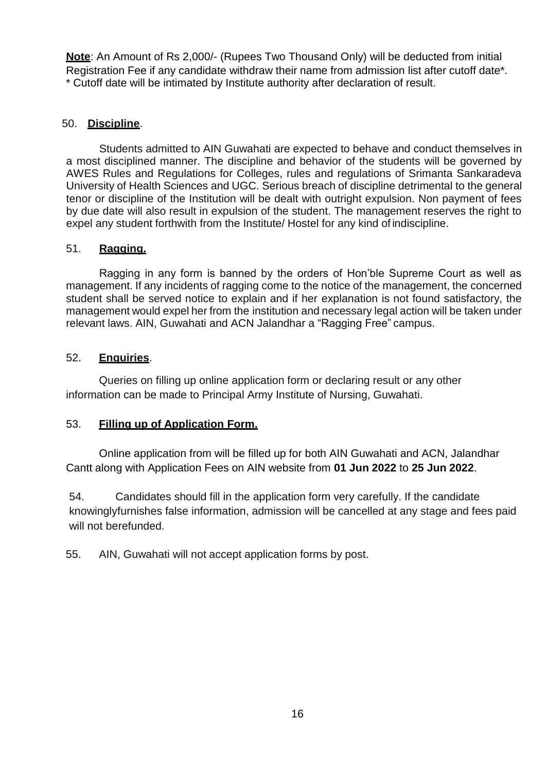**Note**: An Amount of Rs 2,000/- (Rupees Two Thousand Only) will be deducted from initial Registration Fee if any candidate withdraw their name from admission list after cutoff date\*. \* Cutoff date will be intimated by Institute authority after declaration of result.

### 50. **Discipline**.

Students admitted to AIN Guwahati are expected to behave and conduct themselves in a most disciplined manner. The discipline and behavior of the students will be governed by AWES Rules and Regulations for Colleges, rules and regulations of Srimanta Sankaradeva University of Health Sciences and UGC. Serious breach of discipline detrimental to the general tenor or discipline of the Institution will be dealt with outright expulsion. Non payment of fees by due date will also result in expulsion of the student. The management reserves the right to expel any student forthwith from the Institute/ Hostel for any kind of indiscipline.

### 51. **Ragging.**

Ragging in any form is banned by the orders of Hon'ble Supreme Court as well as management. If any incidents of ragging come to the notice of the management, the concerned student shall be served notice to explain and if her explanation is not found satisfactory, the management would expel her from the institution and necessary legal action will be taken under relevant laws. AIN, Guwahati and ACN Jalandhar a "Ragging Free" campus.

### 52. **Enquiries**.

Queries on filling up online application form or declaring result or any other information can be made to Principal Army Institute of Nursing, Guwahati.

### 53. **Filling up of Application Form.**

Online application from will be filled up for both AIN Guwahati and ACN, Jalandhar Cantt along with Application Fees on AIN website from **01 Jun 2022** to **25 Jun 2022**.

54. Candidates should fill in the application form very carefully. If the candidate knowinglyfurnishes false information, admission will be cancelled at any stage and fees paid will not berefunded.

55. AIN, Guwahati will not accept application forms by post.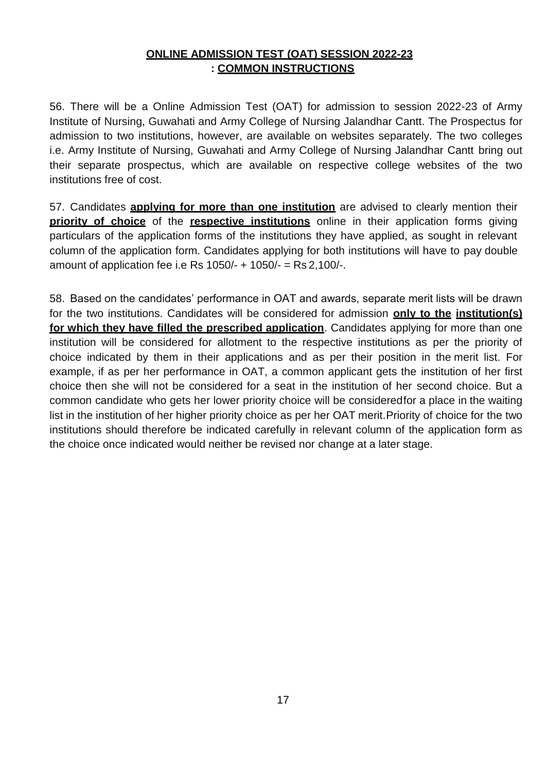### **ONLINE ADMISSION TEST (OAT) SESSION 2022-23 : COMMON INSTRUCTIONS**

56. There will be a Online Admission Test (OAT) for admission to session 2022-23 of Army Institute of Nursing, Guwahati and Army College of Nursing Jalandhar Cantt. The Prospectus for admission to two institutions, however, are available on websites separately. The two colleges i.e. Army Institute of Nursing, Guwahati and Army College of Nursing Jalandhar Cantt bring out their separate prospectus, which are available on respective college websites of the two institutions free of cost.

57. Candidates **applying for more than one institution** are advised to clearly mention their **priority of choice** of the **respective institutions** online in their application forms giving particulars of the application forms of the institutions they have applied, as sought in relevant column of the application form. Candidates applying for both institutions will have to pay double amount of application fee i.e Rs 1050/- + 1050/- = Rs 2,100/-.

58. Based on the candidates' performance in OAT and awards, separate merit lists will be drawn for the two institutions. Candidates will be considered for admission **only to the institution(s) for which they have filled the prescribed application**. Candidates applying for more than one institution will be considered for allotment to the respective institutions as per the priority of choice indicated by them in their applications and as per their position in the merit list. For example, if as per her performance in OAT, a common applicant gets the institution of her first choice then she will not be considered for a seat in the institution of her second choice. But a common candidate who gets her lower priority choice will be consideredfor a place in the waiting list in the institution of her higher priority choice as per her OAT merit. Priority of choice for the two institutions should therefore be indicated carefully in relevant column of the application form as the choice once indicated would neither be revised nor change at a later stage.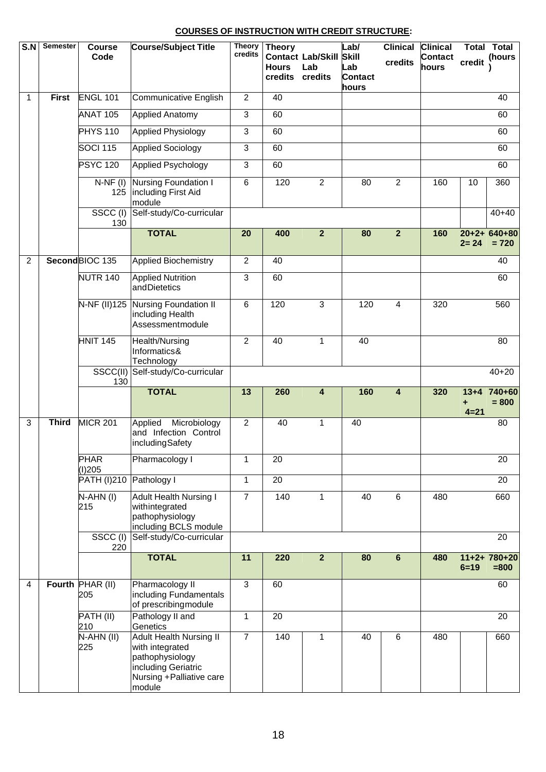#### **COURSES OF INSTRUCTION WITH CREDIT STRUCTURE:**

| S.N            | <b>Semester</b> | Course<br>Code          | <b>Course/Subject Title</b>                                                                                                        | <b>Theory</b><br>credits | <b>Theory</b><br><b>Hours</b><br>credits | <b>Contact Lab/Skill</b><br>Lab<br>credits | Lab/<br><b>Skill</b><br>Lab<br><b>Contact</b><br>hours | <b>Clinical</b><br>credits | <b>Clinical</b><br><b>Contact</b><br>hours | credit        | <b>Total Total</b><br>(hours |
|----------------|-----------------|-------------------------|------------------------------------------------------------------------------------------------------------------------------------|--------------------------|------------------------------------------|--------------------------------------------|--------------------------------------------------------|----------------------------|--------------------------------------------|---------------|------------------------------|
| $\mathbf{1}$   | <b>First</b>    | <b>ENGL 101</b>         | <b>Communicative English</b>                                                                                                       | $\overline{2}$           | 40                                       |                                            |                                                        |                            |                                            |               | 40                           |
|                |                 | <b>ANAT 105</b>         | <b>Applied Anatomy</b>                                                                                                             | $\overline{3}$           | 60                                       |                                            |                                                        |                            |                                            |               | 60                           |
|                |                 | <b>PHYS 110</b>         | <b>Applied Physiology</b>                                                                                                          | 3                        | 60                                       |                                            |                                                        |                            |                                            |               | 60                           |
|                |                 | <b>SOCI 115</b>         | <b>Applied Sociology</b>                                                                                                           | $\overline{3}$           | 60                                       |                                            |                                                        |                            |                                            |               | 60                           |
|                |                 | <b>PSYC 120</b>         | <b>Applied Psychology</b>                                                                                                          | 3                        | 60                                       |                                            |                                                        |                            |                                            |               | 60                           |
|                |                 | $N-NF(I)$<br>125        | Nursing Foundation I<br>including First Aid<br>module                                                                              | 6                        | 120                                      | $\overline{2}$                             | 80                                                     | $\overline{2}$             | 160                                        | 10            | 360                          |
|                |                 | $SSCC$ (I)<br>130       | Self-study/Co-curricular                                                                                                           |                          |                                          |                                            |                                                        |                            |                                            |               | $40 + 40$                    |
|                |                 |                         | <b>TOTAL</b>                                                                                                                       | 20                       | 400                                      | $\overline{2}$                             | 80                                                     | $\overline{2}$             | 160                                        | $2 = 24$      | $20+2+640+80$<br>$= 720$     |
| $\overline{2}$ |                 | SecondBIOC 135          | <b>Applied Biochemistry</b>                                                                                                        | $\overline{2}$           | 40                                       |                                            |                                                        |                            |                                            |               | 40                           |
|                |                 | <b>NUTR 140</b>         | <b>Applied Nutrition</b><br>andDietetics                                                                                           | 3                        | 60                                       |                                            |                                                        |                            |                                            |               | 60                           |
|                |                 | N-NF (II)125            | <b>Nursing Foundation II</b><br>including Health<br>Assessmentmodule                                                               | $6\phantom{1}$           | 120                                      | 3                                          | 120                                                    | 4                          | 320                                        |               | 560                          |
|                |                 | <b>HNIT 145</b>         | Health/Nursing<br>Informatics&<br>Technology                                                                                       | $\overline{2}$           | 40                                       | $\mathbf{1}$                               | 40                                                     |                            |                                            |               | 80                           |
|                |                 | SSCC(II)<br>130         | Self-study/Co-curricular                                                                                                           |                          |                                          |                                            |                                                        |                            |                                            |               | $40 + 20$                    |
|                |                 |                         | <b>TOTAL</b>                                                                                                                       | 13                       | 260                                      | 4                                          | 160                                                    | $\overline{\mathbf{4}}$    | 320                                        | ÷<br>$4 = 21$ | $13+4$ 740+60<br>$= 800$     |
| 3              | <b>Third</b>    | <b>MICR 201</b>         | Microbiology<br>Applied<br>and Infection Control<br>includingSafety                                                                | 2                        | 40                                       | $\mathbf{1}$                               | 40                                                     |                            |                                            |               | 80                           |
|                |                 | <b>PHAR</b><br>(I)205   | Pharmacology I                                                                                                                     | 1                        | 20                                       |                                            |                                                        |                            |                                            |               | 20                           |
|                |                 | <b>PATH (I)210</b>      | Pathology I                                                                                                                        | 1                        | $\overline{20}$                          |                                            |                                                        |                            |                                            |               | 20                           |
|                |                 | N-AHN(I)<br>215         | <b>Adult Health Nursing I</b><br>withintegrated<br>pathophysiology<br>including BCLS module                                        | $\overline{7}$           | 140                                      | 1                                          | 40                                                     | $\,6\,$                    | 480                                        |               | 660                          |
|                |                 | SSCC(I)<br>220          | Self-study/Co-curricular                                                                                                           |                          |                                          |                                            |                                                        |                            |                                            |               | 20                           |
|                |                 |                         | <b>TOTAL</b>                                                                                                                       | 11                       | 220                                      | $\overline{2}$                             | 80                                                     | $\bf 6$                    | 480                                        | $6 = 19$      | $11+2+780+20$<br>$= 800$     |
| 4              |                 | Fourth PHAR (II)<br>205 | Pharmacology II<br>including Fundamentals<br>of prescribing module                                                                 | $\overline{3}$           | 60                                       |                                            |                                                        |                            |                                            |               | 60                           |
|                |                 | PATH (II)<br>210        | Pathology II and<br>Genetics                                                                                                       | 1                        | 20                                       |                                            |                                                        |                            |                                            |               | 20                           |
|                |                 | $N-AHN (II)$<br>225     | <b>Adult Health Nursing II</b><br>with integrated<br>pathophysiology<br>including Geriatric<br>Nursing + Palliative care<br>module | $\overline{7}$           | 140                                      | 1                                          | 40                                                     | 6                          | 480                                        |               | 660                          |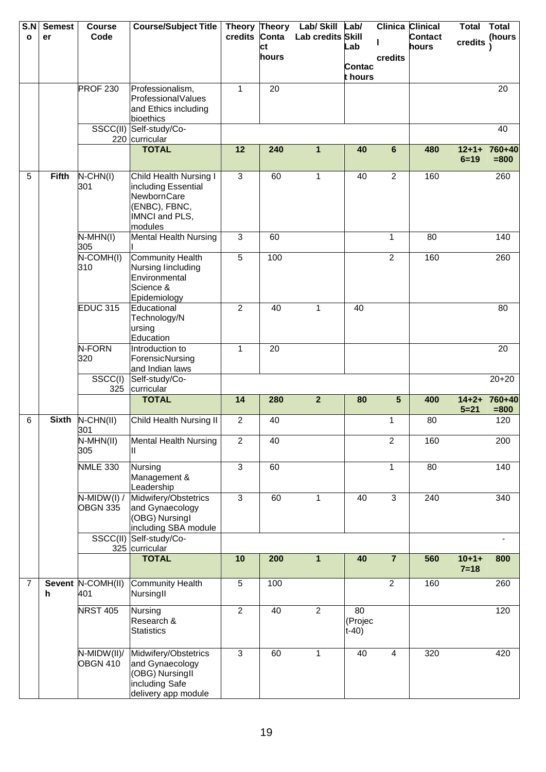| S.N<br>$\mathbf{o}$ | <b>Semest</b><br>er | <b>Course</b><br>Code            | <b>Course/Subject Title</b>                                                                                | credits Conta  |       | Theory Theory Lab/ Skill<br>Lab credits Skill | Lab/                     |                         | <b>Clinica Clinical</b><br><b>Contact</b> | <b>Total</b>           | <b>Total</b><br>(hours |
|---------------------|---------------------|----------------------------------|------------------------------------------------------------------------------------------------------------|----------------|-------|-----------------------------------------------|--------------------------|-------------------------|-------------------------------------------|------------------------|------------------------|
|                     |                     |                                  |                                                                                                            |                | ct    |                                               | Lab                      |                         | hours                                     | credits                |                        |
|                     |                     |                                  |                                                                                                            |                | hours |                                               | Contac                   | credits                 |                                           |                        |                        |
|                     |                     |                                  |                                                                                                            |                |       |                                               | t hours                  |                         |                                           |                        |                        |
|                     |                     | <b>PROF 230</b>                  | Professionalism,<br>ProfessionalValues                                                                     | 1              | 20    |                                               |                          |                         |                                           |                        | 20                     |
|                     |                     |                                  | and Ethics including                                                                                       |                |       |                                               |                          |                         |                                           |                        |                        |
|                     |                     |                                  | bioethics<br>SSCC(II) Self-study/Co-                                                                       |                |       |                                               |                          |                         |                                           |                        | 40                     |
|                     |                     |                                  | 220 curricular                                                                                             |                |       |                                               |                          |                         |                                           |                        |                        |
|                     |                     |                                  | <b>TOTAL</b>                                                                                               | 12             | 240   | $\mathbf{1}$                                  | 40                       | $6\phantom{a}$          | 480                                       | $12 + 1 +$<br>$6 = 19$ | 760+40<br>$= 800$      |
| 5                   | <b>Fifth</b>        | $N$ -CHN(I)<br>301               | Child Health Nursing I<br>including Essential<br>NewbornCare<br>(ENBC), FBNC,<br>IMNCI and PLS,<br>modules | 3              | 60    | 1                                             | 40                       | $\overline{2}$          | 160                                       |                        | 260                    |
|                     |                     | $N-MHN(I)$<br>305                | <b>Mental Health Nursing</b>                                                                               | $\overline{3}$ | 60    |                                               |                          | $\mathbf{1}$            | 80                                        |                        | 140                    |
|                     |                     | $N$ -COMH(I)<br>310              | <b>Community Health</b><br>Nursing lincluding<br>Environmental<br>Science &<br>Epidemiology                | $\overline{5}$ | 100   |                                               |                          | $\overline{2}$          | 160                                       |                        | 260                    |
|                     |                     | <b>EDUC 315</b>                  | Educational<br>Technology/N<br>ursing<br>Education                                                         | $\overline{2}$ | 40    | 1                                             | 40                       |                         |                                           |                        | 80                     |
|                     |                     | N-FORN<br>320                    | Introduction to<br>ForensicNursing<br>and Indian laws                                                      | 1              | 20    |                                               |                          |                         |                                           |                        | 20                     |
|                     |                     | SSCC(I)<br>325                   | Self-study/Co-<br>curricular                                                                               |                |       |                                               |                          |                         |                                           |                        | $20 + 20$              |
|                     |                     |                                  | <b>TOTAL</b>                                                                                               | 14             | 280   | $\overline{2}$                                | 80                       | 5                       | 400                                       | $14 + 2 +$<br>$5 = 21$ | 760+40<br>$= 800$      |
| 6                   | <b>Sixth</b>        | N-CHN(II)<br>301                 | Child Health Nursing II                                                                                    | $\overline{2}$ | 40    |                                               |                          | 1                       | 80                                        |                        | 120                    |
|                     |                     | N-MHN(II)<br>305                 | <b>Mental Health Nursing</b><br>Ш.                                                                         | $\overline{2}$ | 40    |                                               |                          | $\overline{2}$          | 160                                       |                        | 200                    |
|                     |                     | <b>NMLE 330</b>                  | Nursing<br>Management &<br>Leadership                                                                      | $\overline{3}$ | 60    |                                               |                          | $\mathbf{1}$            | 80                                        |                        | 140                    |
|                     |                     | $N-MIDW(I) /$<br><b>OBGN 335</b> | Midwifery/Obstetrics<br>and Gynaecology<br>(OBG) Nursingl<br>including SBA module                          | $\overline{3}$ | 60    | 1                                             | 40                       | $\overline{3}$          | 240                                       |                        | 340                    |
|                     |                     | SSCC(II)                         | Self-study/Co-<br>325 curricular                                                                           |                |       |                                               |                          |                         |                                           |                        |                        |
|                     |                     |                                  | <b>TOTAL</b>                                                                                               | 10             | 200   | $\mathbf{1}$                                  | 40                       | $\overline{7}$          | 560                                       | $10 + 1 +$<br>$7 = 18$ | 800                    |
| $\overline{7}$      | $\mathsf{h}$        | Sevent N-COMH(II)<br>401         | <b>Community Health</b><br>NursingII                                                                       | 5              | 100   |                                               |                          | $\overline{2}$          | 160                                       |                        | 260                    |
|                     |                     | <b>NRST 405</b>                  | Nursing<br>Research &<br><b>Statistics</b>                                                                 | $\overline{2}$ | 40    | $\overline{2}$                                | 80<br>(Projec<br>$t-40)$ |                         |                                           |                        | 120                    |
|                     |                     | N-MIDW(II)/<br><b>OBGN 410</b>   | Midwifery/Obstetrics<br>and Gynaecology<br>(OBG) NursingII<br>including Safe<br>delivery app module        | $\overline{3}$ | 60    | $\mathbf{1}$                                  | 40                       | $\overline{\mathbf{4}}$ | 320                                       |                        | 420                    |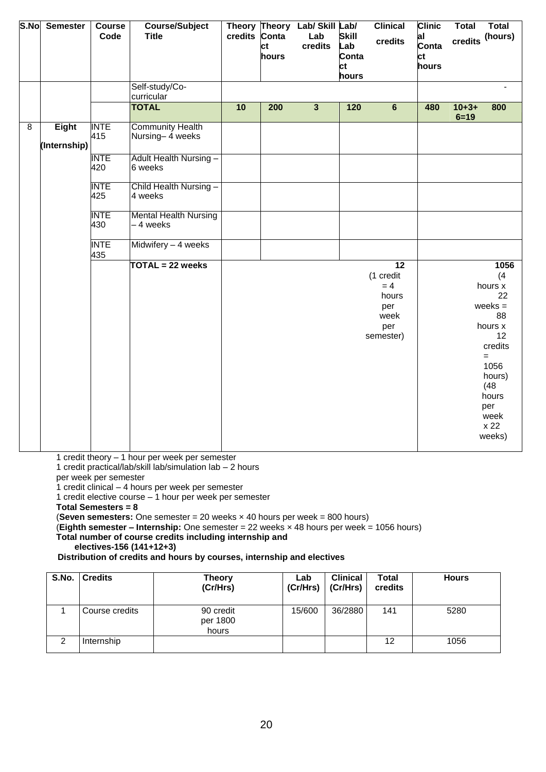| S.No           | <b>Semester</b> | Course<br>Code     | <b>Course/Subject</b><br><b>Title</b>      | credits Conta | ct<br>hours | Theory Theory Lab/ Skill Lab/<br>Lab<br>credits | <b>Skill</b><br>Lab<br>Conta<br>ct<br>hours | <b>Clinical</b><br>credits                                                        | <b>Clinic</b><br>al<br>Conta<br>ct<br>hours | <b>Total</b><br>credits | <b>Total</b><br>(hours)                                                                                                                                |
|----------------|-----------------|--------------------|--------------------------------------------|---------------|-------------|-------------------------------------------------|---------------------------------------------|-----------------------------------------------------------------------------------|---------------------------------------------|-------------------------|--------------------------------------------------------------------------------------------------------------------------------------------------------|
|                |                 |                    | Self-study/Co-<br>curricular               |               |             |                                                 |                                             |                                                                                   |                                             |                         |                                                                                                                                                        |
|                |                 |                    | <b>TOTAL</b>                               | 10            | 200         | $\mathbf{3}$                                    | 120                                         | $6\phantom{a}$                                                                    | 480                                         | $10 + 3 +$<br>$6 = 19$  | 800                                                                                                                                                    |
| $\overline{8}$ | <b>Eight</b>    | <b>INTE</b><br>415 | <b>Community Health</b><br>Nursing-4 weeks |               |             |                                                 |                                             |                                                                                   |                                             |                         |                                                                                                                                                        |
|                | (Internship)    |                    |                                            |               |             |                                                 |                                             |                                                                                   |                                             |                         |                                                                                                                                                        |
|                |                 | <b>INTE</b><br>420 | <b>Adult Health Nursing -</b><br>6 weeks   |               |             |                                                 |                                             |                                                                                   |                                             |                         |                                                                                                                                                        |
|                |                 | <b>INTE</b><br>425 | Child Health Nursing-<br>4 weeks           |               |             |                                                 |                                             |                                                                                   |                                             |                         |                                                                                                                                                        |
|                |                 | <b>INTE</b><br>430 | <b>Mental Health Nursing</b><br>-4 weeks   |               |             |                                                 |                                             |                                                                                   |                                             |                         |                                                                                                                                                        |
|                |                 | <b>INTE</b><br>435 | Midwifery - 4 weeks                        |               |             |                                                 |                                             |                                                                                   |                                             |                         |                                                                                                                                                        |
|                |                 |                    | TOTAL = 22 weeks                           |               |             |                                                 |                                             | $\overline{12}$<br>(1 credit<br>$= 4$<br>hours<br>per<br>week<br>per<br>semester) |                                             |                         | 1056<br>(4)<br>hours x<br>22<br>$weeks =$<br>88<br>hours x<br>12<br>credits<br>$=$<br>1056<br>hours)<br>(48)<br>hours<br>per<br>week<br>x 22<br>weeks) |

1 credit theory – 1 hour per week per semester

1 credit practical/lab/skill lab/simulation lab – 2 hours

per week per semester

1 credit clinical – 4 hours per week per semester

1 credit elective course – 1 hour per week per semester

**Total Semesters = 8**

(**Seven semesters:** One semester = 20 weeks × 40 hours per week = 800 hours)

(**Eighth semester – Internship:** One semester = 22 weeks × 48 hours per week = 1056 hours)

**Total number of course credits including internship and** 

**electives-156 (141+12+3)**

 **Distribution of credits and hours by courses, internship and electives** 

| S.No. | <b>Credits</b> | <b>Theory</b><br>(Cr/Hrs)      | Lab<br>(Cr/Hrs) | <b>Clinical</b><br>(Cr/Hrs) | <b>Total</b><br>credits | <b>Hours</b> |
|-------|----------------|--------------------------------|-----------------|-----------------------------|-------------------------|--------------|
|       | Course credits | 90 credit<br>per 1800<br>hours | 15/600          | 36/2880                     | 141                     | 5280         |
| ◠     | Internship     |                                |                 |                             | 12                      | 1056         |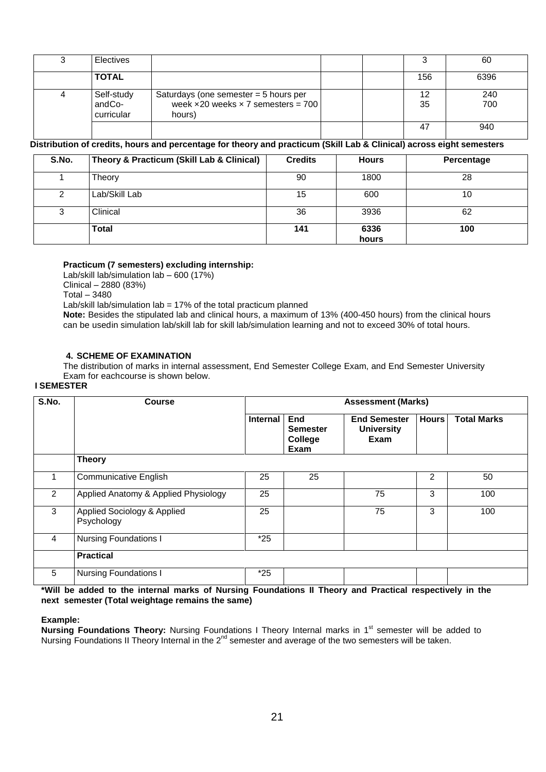| 3 | Electives                          |                                                                                                        |  |     | 60         |
|---|------------------------------------|--------------------------------------------------------------------------------------------------------|--|-----|------------|
|   | <b>TOTAL</b>                       |                                                                                                        |  | 156 | 6396       |
| 4 | Self-study<br>andCo-<br>curricular | Saturdays (one semester $=$ 5 hours per<br>week $\times$ 20 weeks $\times$ 7 semesters = 700<br>hours) |  | 35  | 240<br>700 |
|   |                                    |                                                                                                        |  | 47  | 940        |

# Distribution of credits, hours and percentage for theory and practicum (Skill Lab & Clinical) across eight semesters

| S.No. | Theory & Practicum (Skill Lab & Clinical) | <b>Credits</b> | <b>Hours</b>  | Percentage |
|-------|-------------------------------------------|----------------|---------------|------------|
|       | Theory                                    | 90             | 1800          | 28         |
| 2     | Lab/Skill Lab                             | 15             | 600           | 10         |
| 3     | Clinical                                  | 36             | 3936          | 62         |
|       | <b>Total</b>                              | 141            | 6336<br>hours | 100        |

#### **Practicum (7 semesters) excluding internship:**

Lab/skill lab/simulation lab – 600 (17%) Clinical – 2880 (83%) Total – 3480

Lab/skill lab/simulation lab = 17% of the total practicum planned

**Note:** Besides the stipulated lab and clinical hours, a maximum of 13% (400-450 hours) from the clinical hours can be usedin simulation lab/skill lab for skill lab/simulation learning and not to exceed 30% of total hours.

#### **4. SCHEME OF EXAMINATION**

The distribution of marks in internal assessment, End Semester College Exam, and End Semester University Exam for eachcourse is shown below.

#### **I SEMESTER**

| S.No.          | <b>Course</b>                             | <b>Assessment (Marks)</b> |                                                  |                                                  |                |                    |  |  |
|----------------|-------------------------------------------|---------------------------|--------------------------------------------------|--------------------------------------------------|----------------|--------------------|--|--|
|                |                                           | Internal                  | <b>End</b><br><b>Semester</b><br>College<br>Exam | <b>End Semester</b><br><b>University</b><br>Exam | <b>Hours</b>   | <b>Total Marks</b> |  |  |
|                | <b>Theory</b>                             |                           |                                                  |                                                  |                |                    |  |  |
| 1              | <b>Communicative English</b>              | 25                        | 25                                               |                                                  | $\overline{2}$ | 50                 |  |  |
| $\overline{2}$ | Applied Anatomy & Applied Physiology      | 25                        |                                                  | 75                                               | 3              | 100                |  |  |
| 3              | Applied Sociology & Applied<br>Psychology | 25                        |                                                  | 75                                               | 3              | 100                |  |  |
| 4              | <b>Nursing Foundations I</b>              | $*25$                     |                                                  |                                                  |                |                    |  |  |
|                | <b>Practical</b>                          |                           |                                                  |                                                  |                |                    |  |  |
| 5              | <b>Nursing Foundations I</b>              | *25                       |                                                  |                                                  |                |                    |  |  |

 **\*Will be added to the internal marks of Nursing Foundations II Theory and Practical respectively in the next semester (Total weightage remains the same)**

#### **Example:**

**Nursing Foundations Theory:** Nursing Foundations I Theory Internal marks in 1<sup>st</sup> semester will be added to Nursing Foundations II Theory Internal in the 2<sup>nd</sup> semester and average of the two semesters will be taken.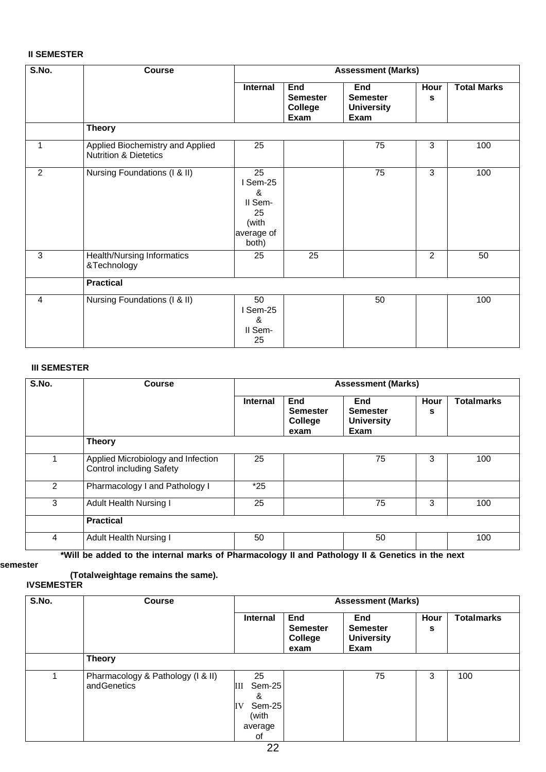#### **II SEMESTER**

| S.No.          | <b>Course</b>                                                        |                                                                      |                                           | <b>Assessment (Marks)</b>                           |                |                    |
|----------------|----------------------------------------------------------------------|----------------------------------------------------------------------|-------------------------------------------|-----------------------------------------------------|----------------|--------------------|
|                |                                                                      | <b>Internal</b>                                                      | End<br><b>Semester</b><br>College<br>Exam | End<br><b>Semester</b><br><b>University</b><br>Exam | Hour<br>s      | <b>Total Marks</b> |
|                | <b>Theory</b>                                                        |                                                                      |                                           |                                                     |                |                    |
| 1              | Applied Biochemistry and Applied<br><b>Nutrition &amp; Dietetics</b> | 25                                                                   |                                           | 75                                                  | 3              | 100                |
| 2              | Nursing Foundations (I & II)                                         | 25<br>I Sem-25<br>&<br>II Sem-<br>25<br>(with<br>average of<br>both) |                                           | 75                                                  | 3              | 100                |
| $\overline{3}$ | Health/Nursing Informatics<br>&Technology                            | 25                                                                   | $\overline{25}$                           |                                                     | $\overline{2}$ | 50                 |
|                | <b>Practical</b>                                                     |                                                                      |                                           |                                                     |                |                    |
| 4              | Nursing Foundations (I & II)                                         | 50<br>I Sem-25<br>&<br>II Sem-<br>25                                 |                                           | 50                                                  |                | 100                |

#### **III SEMESTER**

| S.No. | <b>Course</b>                                                         | <b>Assessment (Marks)</b> |                                           |                                                     |           |                   |
|-------|-----------------------------------------------------------------------|---------------------------|-------------------------------------------|-----------------------------------------------------|-----------|-------------------|
|       |                                                                       | <b>Internal</b>           | End<br><b>Semester</b><br>College<br>exam | End<br><b>Semester</b><br><b>University</b><br>Exam | Hour<br>s | <b>Totalmarks</b> |
|       | <b>Theory</b>                                                         |                           |                                           |                                                     |           |                   |
|       | Applied Microbiology and Infection<br><b>Control including Safety</b> | 25                        |                                           | 75                                                  | 3         | 100               |
| 2     | Pharmacology I and Pathology I                                        | $*25$                     |                                           |                                                     |           |                   |
| 3     | <b>Adult Health Nursing I</b>                                         | 25                        |                                           | 75                                                  | 3         | 100               |
|       | <b>Practical</b>                                                      |                           |                                           |                                                     |           |                   |
| 4     | <b>Adult Health Nursing I</b>                                         | 50                        |                                           | 50                                                  |           | 100               |

 **\*Will be added to the internal marks of Pharmacology II and Pathology II & Genetics in the next**

#### **semester**

#### **(Totalweightage remains the same).**

#### **IVSEMESTER**

| S.No.<br><b>Course</b> |                                                  |                                                                  |                                           | <b>Assessment (Marks)</b>                                  |           |                   |  |
|------------------------|--------------------------------------------------|------------------------------------------------------------------|-------------------------------------------|------------------------------------------------------------|-----------|-------------------|--|
|                        |                                                  | <b>Internal</b>                                                  | End<br><b>Semester</b><br>College<br>exam | <b>End</b><br><b>Semester</b><br><b>University</b><br>Exam | Hour<br>s | <b>Totalmarks</b> |  |
|                        | <b>Theory</b>                                    |                                                                  |                                           |                                                            |           |                   |  |
|                        | Pharmacology & Pathology (I & II)<br>andGenetics | 25<br>Sem-25<br>Ш<br>&<br>Sem-25<br>IV<br>(with<br>average<br>οf |                                           | 75                                                         | 3         | 100               |  |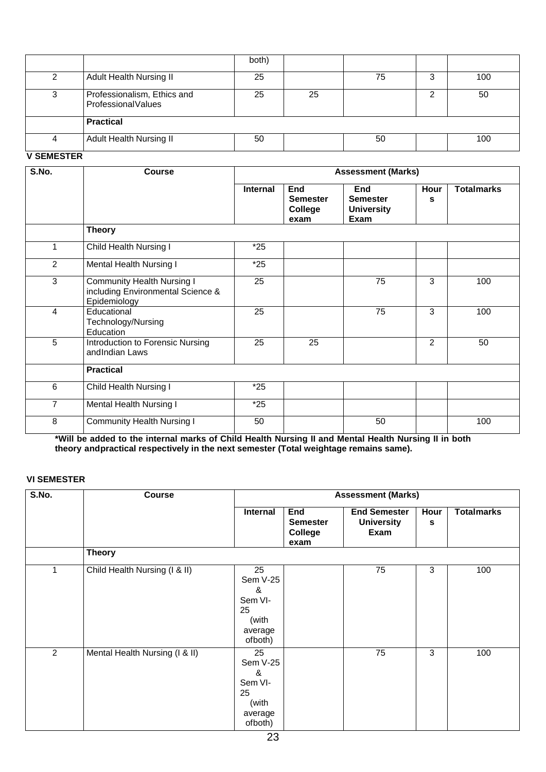|   |                                                   | both) |    |    |   |     |
|---|---------------------------------------------------|-------|----|----|---|-----|
|   | Adult Health Nursing II                           | 25    |    | 75 | 3 | 100 |
|   | Professionalism, Ethics and<br>ProfessionalValues | 25    | 25 |    |   | 50  |
|   | <b>Practical</b>                                  |       |    |    |   |     |
| 4 | Adult Health Nursing II                           | 50    |    | 50 |   | 100 |

#### **V SEMESTER**

| S.No.          | <b>Course</b>                                                                          | <b>Assessment (Marks)</b> |                                           |                                                     |           |                   |
|----------------|----------------------------------------------------------------------------------------|---------------------------|-------------------------------------------|-----------------------------------------------------|-----------|-------------------|
|                |                                                                                        | Internal                  | End<br><b>Semester</b><br>College<br>exam | End<br><b>Semester</b><br><b>University</b><br>Exam | Hour<br>s | <b>Totalmarks</b> |
|                | <b>Theory</b>                                                                          |                           |                                           |                                                     |           |                   |
| 1              | Child Health Nursing I                                                                 | $*25$                     |                                           |                                                     |           |                   |
| $\overline{2}$ | Mental Health Nursing I                                                                | $*25$                     |                                           |                                                     |           |                   |
| 3              | <b>Community Health Nursing I</b><br>including Environmental Science &<br>Epidemiology | 25                        |                                           | 75                                                  | 3         | 100               |
| 4              | Educational<br>Technology/Nursing<br>Education                                         | 25                        |                                           | 75                                                  | 3         | 100               |
| 5              | Introduction to Forensic Nursing<br>andIndian Laws                                     | 25                        | 25                                        |                                                     | 2         | 50                |
|                | <b>Practical</b>                                                                       |                           |                                           |                                                     |           |                   |
| 6              | Child Health Nursing I                                                                 | $*25$                     |                                           |                                                     |           |                   |
| 7              | Mental Health Nursing I                                                                | $*25$                     |                                           |                                                     |           |                   |
| 8              | <b>Community Health Nursing I</b>                                                      | 50                        |                                           | 50                                                  |           | 100               |

Will be added to the internal marks of Child Health Nursing II and Mental Health Nursing II in both\* **theory andpractical respectively in the next semester (Total weightage remains same).**

### **VI SEMESTER**

| S.No.          | <b>Course</b>                  | <b>Assessment (Marks)</b>                                           |                                                  |                                                  |           |                   |
|----------------|--------------------------------|---------------------------------------------------------------------|--------------------------------------------------|--------------------------------------------------|-----------|-------------------|
|                |                                | Internal                                                            | End<br><b>Semester</b><br><b>College</b><br>exam | <b>End Semester</b><br><b>University</b><br>Exam | Hour<br>s | <b>Totalmarks</b> |
|                | <b>Theory</b>                  |                                                                     |                                                  |                                                  |           |                   |
| 1              | Child Health Nursing (I & II)  | 25<br>Sem V-25<br>&<br>Sem VI-<br>25<br>(with<br>average<br>ofboth) |                                                  | 75                                               | 3         | 100               |
| $\overline{2}$ | Mental Health Nursing (I & II) | 25<br>Sem V-25<br>&<br>Sem VI-<br>25<br>(with<br>average<br>ofboth) |                                                  | 75                                               | 3         | 100               |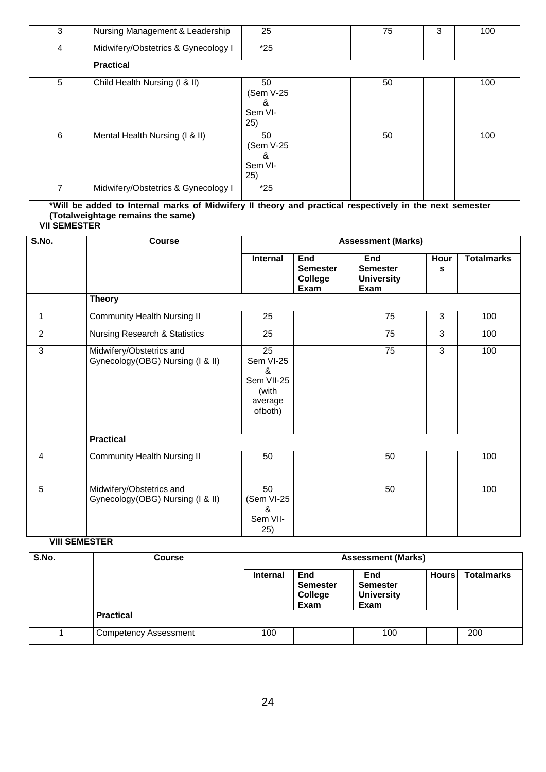| 3 | Nursing Management & Leadership     | 25                                      | 75 | 3 | 100 |
|---|-------------------------------------|-----------------------------------------|----|---|-----|
| 4 | Midwifery/Obstetrics & Gynecology I | $*25$                                   |    |   |     |
|   | <b>Practical</b>                    |                                         |    |   |     |
| 5 | Child Health Nursing (I & II)       | 50<br>(Sem V-25)<br>&<br>Sem VI-<br>25) | 50 |   | 100 |
| 6 | Mental Health Nursing (I & II)      | 50<br>(Sem V-25<br>&<br>Sem VI-<br>25)  | 50 |   | 100 |
| 7 | Midwifery/Obstetrics & Gynecology I | $*25$                                   |    |   |     |

### **\*Will be added to Internal marks of Midwifery II theory and practical respectively in the next semester (Totalweightage remains the same)**

| <b>VII SEMESTER</b> |  |  |
|---------------------|--|--|

| S.No. | <b>Course</b>                                                 |                                                                   |                                                  | <b>Assessment (Marks)</b>                           |           |                   |
|-------|---------------------------------------------------------------|-------------------------------------------------------------------|--------------------------------------------------|-----------------------------------------------------|-----------|-------------------|
|       |                                                               | <b>Internal</b>                                                   | End<br><b>Semester</b><br><b>College</b><br>Exam | End<br><b>Semester</b><br><b>University</b><br>Exam | Hour<br>s | <b>Totalmarks</b> |
|       | <b>Theory</b>                                                 |                                                                   |                                                  |                                                     |           |                   |
| 1     | <b>Community Health Nursing II</b>                            | 25                                                                |                                                  | 75                                                  | 3         | 100               |
| 2     | Nursing Research & Statistics                                 | 25                                                                |                                                  | 75                                                  | 3         | 100               |
| 3     | Midwifery/Obstetrics and<br>Gynecology (OBG) Nursing (I & II) | 25<br>Sem VI-25<br>&<br>Sem VII-25<br>(with<br>average<br>ofboth) |                                                  | 75                                                  | 3         | 100               |
|       | <b>Practical</b>                                              |                                                                   |                                                  |                                                     |           |                   |
| 4     | <b>Community Health Nursing II</b>                            | 50                                                                |                                                  | 50                                                  |           | 100               |
| 5     | Midwifery/Obstetrics and<br>Gynecology (OBG) Nursing (I & II) | 50<br>(Sem VI-25<br>&<br>Sem VII-<br>25)                          |                                                  | 50                                                  |           | 100               |

### **VIII SEMESTER**

| S.No. | <b>Course</b>                | <b>Assessment (Marks)</b> |                                    |                                                            |              |                   |
|-------|------------------------------|---------------------------|------------------------------------|------------------------------------------------------------|--------------|-------------------|
|       |                              | <b>Internal</b>           | End<br>Semester<br>College<br>Exam | <b>End</b><br><b>Semester</b><br><b>University</b><br>Exam | <b>Hours</b> | <b>Totalmarks</b> |
|       | <b>Practical</b>             |                           |                                    |                                                            |              |                   |
|       | <b>Competency Assessment</b> | 100                       |                                    | 100                                                        |              | 200               |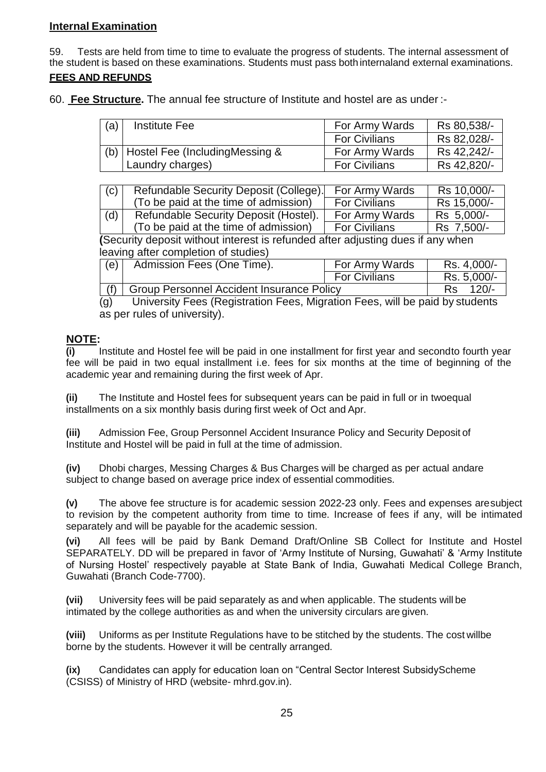### **Internal Examination**

59. Tests are held from time to time to evaluate the progress of students. The internal assessment of the student is based on these examinations. Students must pass both internaland external examinations.

### **FEES AND REFUNDS**

60. **Fee Structure.** The annual fee structure of Institute and hostel are as under :-

| (a) | Institute Fee                        | For Army Wards       | Rs 80,538/- |
|-----|--------------------------------------|----------------------|-------------|
|     |                                      | <b>For Civilians</b> | Rs 82,028/- |
|     | (b)   Hostel Fee (IncludingMessing & | For Army Wards       | Rs 42,242/- |
|     | Laundry charges)                     | <b>For Civilians</b> | Rs 42,820/- |

| (c) | Refundable Security Deposit (College). | For Army Wards       | Rs 10,000/- |
|-----|----------------------------------------|----------------------|-------------|
|     | (To be paid at the time of admission)  | <b>For Civilians</b> | Rs 15,000/- |
| (d) | Refundable Security Deposit (Hostel).  | For Army Wards       | Rs 5,000/-  |
|     | (To be paid at the time of admission)  | <b>For Civilians</b> | Rs 7,500/-  |

**(**Security deposit without interest is refunded after adjusting dues if any when leaving after completion of studies)

| (e) | Admission Fees (One Time).                       | For Army Wards       | Rs. 4,000/-    |
|-----|--------------------------------------------------|----------------------|----------------|
|     |                                                  | <b>For Civilians</b> | Rs. 5,000/-    |
|     | <b>Group Personnel Accident Insurance Policy</b> |                      | $120/-$<br>Rs. |

(g) University Fees (Registration Fees, Migration Fees, will be paid by students as per rules of university).

### **NOTE:**

**(i)** Institute and Hostel fee will be paid in one installment for first year and secondto fourth year fee will be paid in two equal installment i.e. fees for six months at the time of beginning of the academic year and remaining during the first week of Apr.

**(ii)** The Institute and Hostel fees for subsequent years can be paid in full or in two equal installments on a six monthly basis during first week of Oct and Apr.

**(iii)** Admission Fee, Group Personnel Accident Insurance Policy and Security Deposit of Institute and Hostel will be paid in full at the time of admission.

**(iv)** Dhobi charges, Messing Charges & Bus Charges will be charged as per actual and are subject to change based on average price index of essential commodities.

**(v)** The above fee structure is for academic session 2022-23 only. Fees and expenses aresubject to revision by the competent authority from time to time. Increase of fees if any, will be intimated separately and will be payable for the academic session.

**(vi)** All fees will be paid by Bank Demand Draft/Online SB Collect for Institute and Hostel SEPARATELY. DD will be prepared in favor of 'Army Institute of Nursing, Guwahati' & 'Army Institute of Nursing Hostel' respectively payable at State Bank of India, Guwahati Medical College Branch, Guwahati (Branch Code-7700).

**(vii)** University fees will be paid separately as and when applicable. The students will be intimated by the college authorities as and when the university circulars are given.

**(viii)** Uniforms as per Institute Regulations have to be stitched by the students. The cost willbe borne by the students. However it will be centrally arranged.

**(ix)** Candidates can apply for education loan on "Central Sector Interest SubsidyScheme (CSISS) of Ministry of HRD (website- mhrd.gov.in).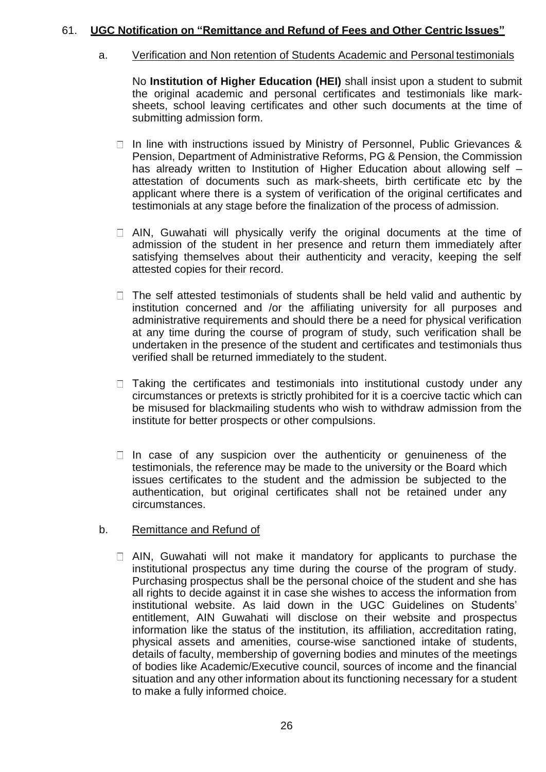### 61. **UGC Notification on "Remittance and Refund of Fees and Other Centric Issues"**

### a. Verification and Non retention of Students Academic and Personal testimonials

No **Institution of Higher Education (HEI)** shall insist upon a student to submit the original academic and personal certificates and testimonials like marksheets, school leaving certificates and other such documents at the time of submitting admission form.

- $\Box$  In line with instructions issued by Ministry of Personnel, Public Grievances & Pension, Department of Administrative Reforms, PG & Pension, the Commission has already written to Institution of Higher Education about allowing self attestation of documents such as mark-sheets, birth certificate etc by the applicant where there is a system of verification of the original certificates and testimonials at any stage before the finalization of the process of admission.
- $\Box$  AIN, Guwahati will physically verify the original documents at the time of admission of the student in her presence and return them immediately after satisfying themselves about their authenticity and veracity, keeping the self attested copies for their record.
- $\Box$  The self attested testimonials of students shall be held valid and authentic by institution concerned and /or the affiliating university for all purposes and administrative requirements and should there be a need for physical verification at any time during the course of program of study, such verification shall be undertaken in the presence of the student and certificates and testimonials thus verified shall be returned immediately to the student.
- $\Box$  Taking the certificates and testimonials into institutional custody under any circumstances or pretexts is strictly prohibited for it is a coercive tactic which can be misused for blackmailing students who wish to withdraw admission from the institute for better prospects or other compulsions.
- $\Box$  In case of any suspicion over the authenticity or genuineness of the testimonials, the reference may be made to the university or the Board which issues certificates to the student and the admission be subjected to the authentication, but original certificates shall not be retained under any circumstances.
- b. Remittance and Refund of
	- $\Box$  AIN, Guwahati will not make it mandatory for applicants to purchase the institutional prospectus any time during the course of the program of study. Purchasing prospectus shall be the personal choice of the student and she has all rights to decide against it in case she wishes to access the information from institutional website. As laid down in the UGC Guidelines on Students' entitlement, AIN Guwahati will disclose on their website and prospectus information like the status of the institution, its affiliation, accreditation rating, physical assets and amenities, course-wise sanctioned intake of students, details of faculty, membership of governing bodies and minutes of the meetings of bodies like Academic/Executive council, sources of income and the financial situation and any other information about its functioning necessary for a student to make a fully informed choice.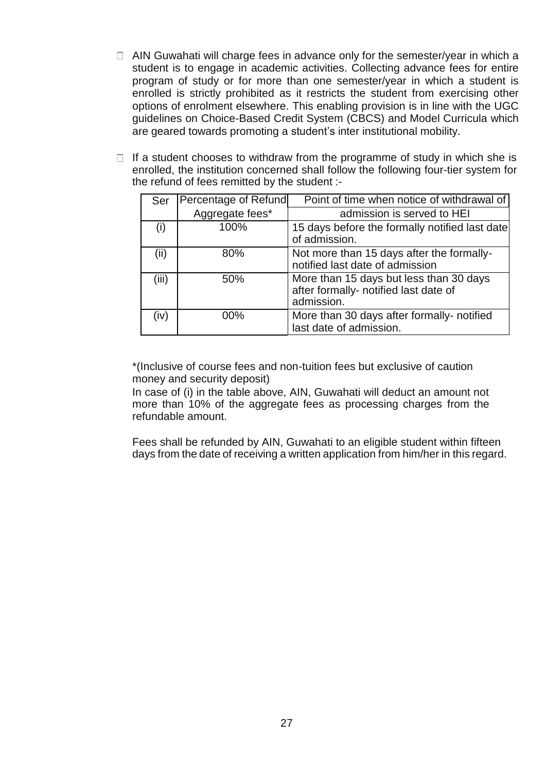- $\Box$  AIN Guwahati will charge fees in advance only for the semester/year in which a student is to engage in academic activities. Collecting advance fees for entire program of study or for more than one semester/year in which a student is enrolled is strictly prohibited as it restricts the student from exercising other options of enrolment elsewhere. This enabling provision is in line with the UGC guidelines on Choice-Based Credit System (CBCS) and Model Curricula which are geared towards promoting a student's inter institutional mobility.
- $\Box$  If a student chooses to withdraw from the programme of study in which she is enrolled, the institution concerned shall follow the following four-tier system for the refund of fees remitted by the student :-

| Ser               | Percentage of Refund | Point of time when notice of withdrawal of                                                     |
|-------------------|----------------------|------------------------------------------------------------------------------------------------|
|                   | Aggregate fees*      | admission is served to HEI                                                                     |
| $\left( 1\right)$ | 100%                 | 15 days before the formally notified last date<br>of admission.                                |
| (ii)              | 80%                  | Not more than 15 days after the formally-<br>notified last date of admission                   |
| (iii)             | 50%                  | More than 15 days but less than 30 days<br>after formally- notified last date of<br>admission. |
| (iv)              | 00%                  | More than 30 days after formally- notified<br>last date of admission.                          |

\*(Inclusive of course fees and non-tuition fees but exclusive of caution money and security deposit)

In case of (i) in the table above, AIN, Guwahati will deduct an amount not more than 10% of the aggregate fees as processing charges from the refundable amount.

Fees shall be refunded by AIN, Guwahati to an eligible student within fifteen days from the date of receiving a written application from him/her in this regard.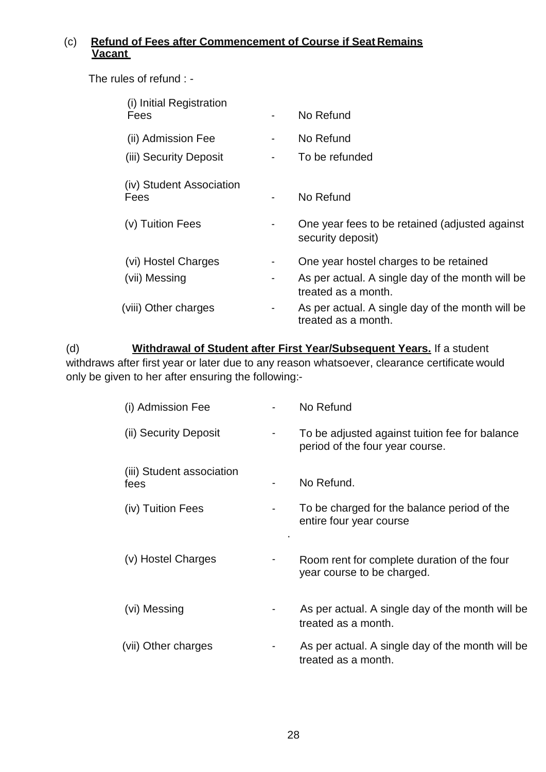# (c) **Refund of Fees after Commencement of Course if Seat Remains Vacant**

The rules of refund : -

| (i) Initial Registration<br>Fees             | No Refund                                                               |
|----------------------------------------------|-------------------------------------------------------------------------|
| (ii) Admission Fee<br>(iii) Security Deposit | No Refund<br>To be refunded                                             |
| (iv) Student Association                     |                                                                         |
| Fees                                         | No Refund                                                               |
| (v) Tuition Fees                             | One year fees to be retained (adjusted against)<br>security deposit)    |
| (vi) Hostel Charges                          | One year hostel charges to be retained                                  |
| (vii) Messing                                | As per actual. A single day of the month will be<br>treated as a month. |
| (viii) Other charges                         | As per actual. A single day of the month will be<br>treated as a month. |

(d) **Withdrawal of Student after First Year/Subsequent Years.** If a student withdraws after first year or later due to any reason whatsoever, clearance certificate would only be given to her after ensuring the following:-

| (i) Admission Fee                 | No Refund                                                                         |
|-----------------------------------|-----------------------------------------------------------------------------------|
| (ii) Security Deposit             | To be adjusted against tuition fee for balance<br>period of the four year course. |
| (iii) Student association<br>fees | No Refund.                                                                        |
| (iv) Tuition Fees                 | To be charged for the balance period of the<br>entire four year course            |
| (v) Hostel Charges                | Room rent for complete duration of the four<br>year course to be charged.         |
| (vi) Messing                      | As per actual. A single day of the month will be<br>treated as a month.           |
| (vii) Other charges               | As per actual. A single day of the month will be<br>treated as a month.           |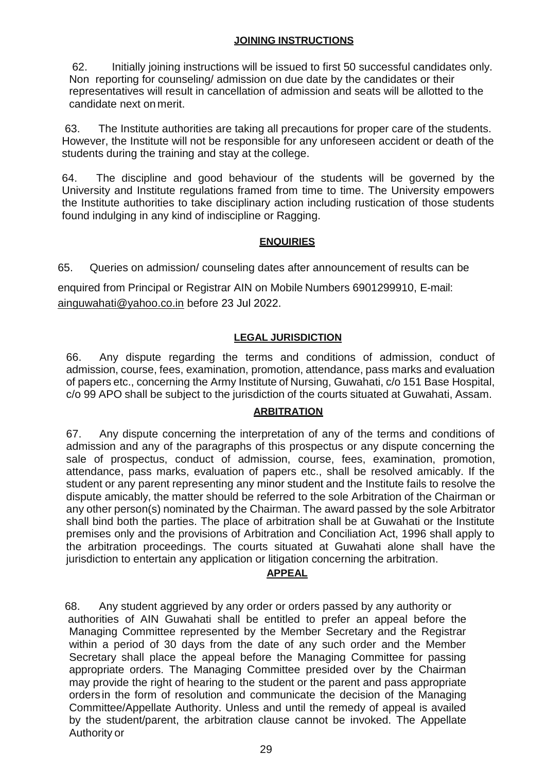### **JOINING INSTRUCTIONS**

62. Initially joining instructions will be issued to first 50 successful candidates only. Non reporting for counseling/ admission on due date by the candidates or their representatives will result in cancellation of admission and seats will be allotted to the candidate next on merit.

 63. The Institute authorities are taking all precautions for proper care of the students. However, the Institute will not be responsible for any unforeseen accident or death of the students during the training and stay at the college.

64. The discipline and good behaviour of the students will be governed by the University and Institute regulations framed from time to time. The University empowers the Institute authorities to take disciplinary action including rustication of those students found indulging in any kind of indiscipline or Ragging.

### **ENQUIRIES**

65. Queries on admission/ counseling dates after announcement of results can be

enquired from Principal or Registrar AIN on Mobile Numbers 6901299910, E-mai[l:](mailto:ainguwahati@yahoo.co.in) [ainguwahati@yahoo.co.in](mailto:ainguwahati@yahoo.co.in) before 23 Jul 2022.

### **LEGAL JURISDICTION**

66. Any dispute regarding the terms and conditions of admission, conduct of admission, course, fees, examination, promotion, attendance, pass marks and evaluation of papers etc., concerning the Army Institute of Nursing, Guwahati, c/o 151 Base Hospital, c/o 99 APO shall be subject to the jurisdiction of the courts situated at Guwahati, Assam.

### **ARBITRATION**

67. Any dispute concerning the interpretation of any of the terms and conditions of admission and any of the paragraphs of this prospectus or any dispute concerning the sale of prospectus, conduct of admission, course, fees, examination, promotion, attendance, pass marks, evaluation of papers etc., shall be resolved amicably. If the student or any parent representing any minor student and the Institute fails to resolve the dispute amicably, the matter should be referred to the sole Arbitration of the Chairman or any other person(s) nominated by the Chairman. The award passed by the sole Arbitrator shall bind both the parties. The place of arbitration shall be at Guwahati or the Institute premises only and the provisions of Arbitration and Conciliation Act, 1996 shall apply to the arbitration proceedings. The courts situated at Guwahati alone shall have the jurisdiction to entertain any application or litigation concerning the arbitration.

### **APPEAL**

 68. Any student aggrieved by any order or orders passed by any authority or authorities of AIN Guwahati shall be entitled to prefer an appeal before the Managing Committee represented by the Member Secretary and the Registrar within a period of 30 days from the date of any such order and the Member Secretary shall place the appeal before the Managing Committee for passing appropriate orders. The Managing Committee presided over by the Chairman may provide the right of hearing to the student or the parent and pass appropriate orders in the form of resolution and communicate the decision of the Managing Committee/Appellate Authority. Unless and until the remedy of appeal is availed by the student/parent, the arbitration clause cannot be invoked. The Appellate Authority or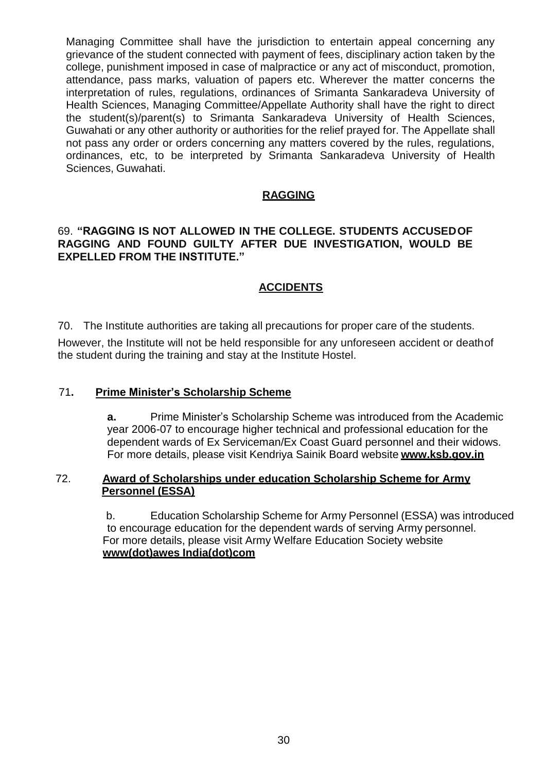Managing Committee shall have the jurisdiction to entertain appeal concerning any grievance of the student connected with payment of fees, disciplinary action taken by the college, punishment imposed in case of malpractice or any act of misconduct, promotion, attendance, pass marks, valuation of papers etc. Wherever the matter concerns the interpretation of rules, regulations, ordinances of Srimanta Sankaradeva University of Health Sciences, Managing Committee/Appellate Authority shall have the right to direct the student(s)/parent(s) to Srimanta Sankaradeva University of Health Sciences, Guwahati or any other authority or authorities for the relief prayed for. The Appellate shall not pass any order or orders concerning any matters covered by the rules, regulations, ordinances, etc, to be interpreted by Srimanta Sankaradeva University of Health Sciences, Guwahati.

### **RAGGING**

### 69. **"RAGGING IS NOT ALLOWED IN THE COLLEGE. STUDENTS ACCUSEDOF RAGGING AND FOUND GUILTY AFTER DUE INVESTIGATION, WOULD BE EXPELLED FROM THE INSTITUTE."**

### **ACCIDENTS**

70. The Institute authorities are taking all precautions for proper care of the students.

However, the Institute will not be held responsible for any unforeseen accident or deathof the student during the training and stay at the Institute Hostel.

### 71**. Prime Minister's Scholarship Scheme**

**a.** Prime Minister's Scholarship Scheme was introduced from the Academic year 2006-07 to encourage higher technical and professional education for the dependent wards of Ex Serviceman/Ex Coast Guard personnel and their widows. For more details, please visit Kendriya Sainik Board website **[www.ksb.gov.in](http://www.ksb.gov.in/)**

### 72. **Award of Scholarships under education Scholarship Scheme for Army Personnel (ESSA)**

b. Education Scholarship Scheme for Army Personnel (ESSA) was introduced to encourage education for the dependent wards of serving Army personnel. For more details, please visit Army Welfare Education Society website **www(dot)awes India(dot)com**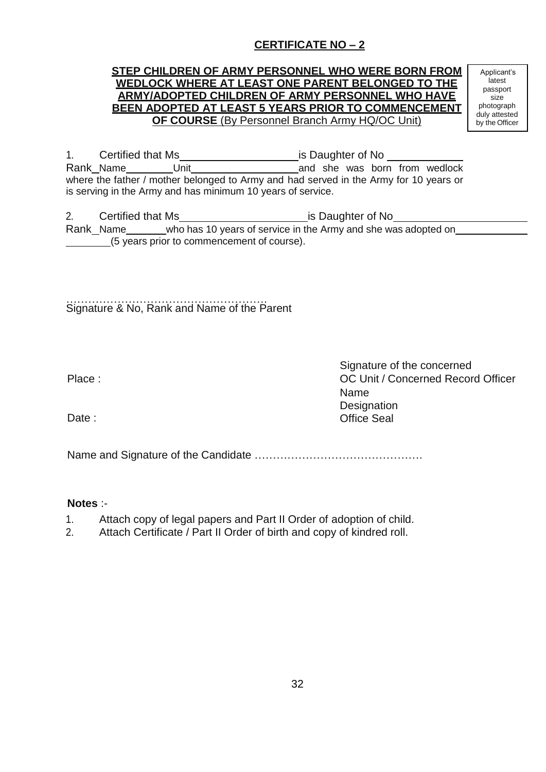# **CERTIFICATE NO – 2**

### **STEP CHILDREN OF ARMY PERSONNEL WHO WERE BORN FROM WEDLOCK WHERE AT LEAST ONE PARENT BELONGED TO THE ARMY/ADOPTED CHILDREN OF ARMY PERSONNEL WHO HAVE BEEN ADOPTED AT LEAST 5 YEARS PRIOR TO COMMENCEMENT OF COURSE** (By Personnel Branch Army HQ/OC Unit)

Applicant's latest passport size photograph duly attested by the Officer

1. Certified that Ms **is Daughter of No is Daughter of No is Daughter of No is Daughter of No is Daughter of No is Daughter of No is Daughter of No is Daughter of No is Daughter of No is Daughter of No** Rank Name Unit Unit and she was born from wedlock where the father / mother belonged to Army and had served in the Army for 10 years or is serving in the Army and has minimum 10 years of service.

2. Certified that Ms is Daughter of No Rank\_Name\_\_\_\_\_\_\_who has 10 years of service in the Army and she was adopted on\_\_\_\_\_\_ (5 years prior to commencement of course).

………………………………………………. Signature & No, Rank and Name of the Parent

Date:

Signature of the concerned Place : OC Unit / Concerned Record Officer Name **Designation** Office Seal

Name and Signature of the Candidate ……………………………………….

### **Notes** :-

- 1. Attach copy of legal papers and Part II Order of adoption of child.
- 2. Attach Certificate / Part II Order of birth and copy of kindred roll.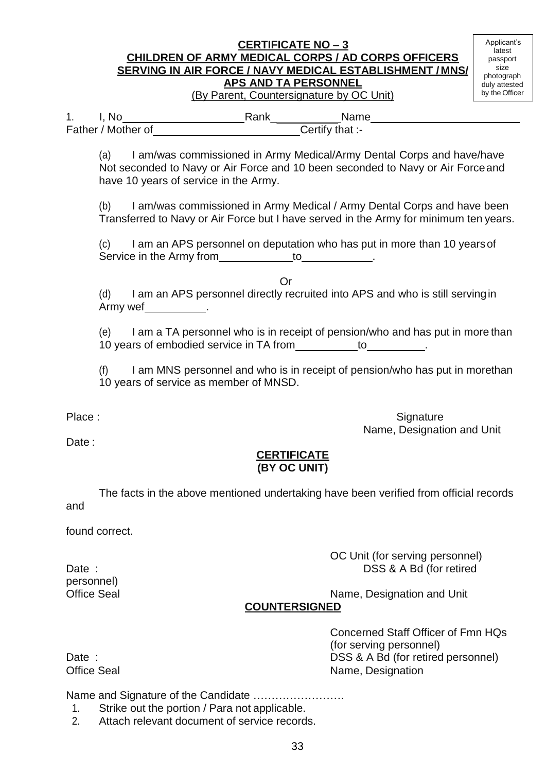### **CERTIFICATE NO – 3 CHILDREN OF ARMY MEDICAL CORPS / AD CORPS OFFICERS SERVING IN AIR FORCE / NAVY MEDICAL ESTABLISHMENT / MNS/ APS AND TA PERSONNEL** (By Parent, Countersignature by OC Unit)

Applicant's latest passport size photograph duly attested by the Officer

1. I, No **Campaign:** Rank
<u>Certify that:-</u>
Name
Certify that: Father / Mother of

(a) I am/was commissioned in Army Medical/Army Dental Corps and have/have Not seconded to Navy or Air Force and 10 been seconded to Navy or Air Forceand have 10 years of service in the Army.

(b) I am/was commissioned in Army Medical / Army Dental Corps and have been Transferred to Navy or Air Force but I have served in the Army for minimum ten years.

I am an APS personnel on deputation who has put in more than 10 years of Service in the Army from to to the service in the Army from the service of the service of the service of the service of the service of the service of the service of the service of the service of the service of the service

Or

(d) I am an APS personnel directly recruited into APS and who is still servingin Army wef .

(e) I am a TA personnel who is in receipt of pension/who and has put in more than 10 years of embodied service in TA from to .

(f) I am MNS personnel and who is in receipt of pension/who has put in morethan 10 years of service as member of MNSD.

Date:

Place : Signature : Signature : Signature : Signature : Signature : Signature : Signature : Signature : Signature : Signature : Signature : Signature : Signature : Signature : Signature : Signature : Signature : Signature Name, Designation and Unit

### **CERTIFICATE (BY OC UNIT)**

and The facts in the above mentioned undertaking have been verified from official records

found correct.

OC Unit (for serving personnel) Date : Date : DSS & A Bd (for retired

Office Seal Name, Designation and Unit

# **COUNTERSIGNED**

personnel)

Concerned Staff Officer of Fmn HQs (for serving personnel) Date : Date : DSS & A Bd (for retired personnel) Office Seal Name, Designation

Name and Signature of the Candidate …………………….

- 1. Strike out the portion / Para not applicable.
- 2. Attach relevant document of service records.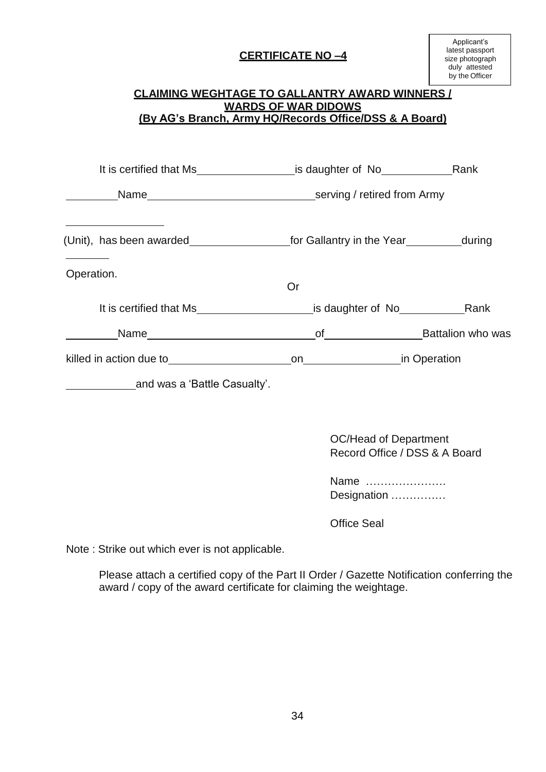# **CERTIFICATE NO –4**

# **CLAIMING WEGHTAGE TO GALLANTRY AWARD WINNERS / WARDS OF WAR DIDOWS (By AG's Branch, Army HQ/Records Office/DSS & A Board)** It is certified that Ms is daughter of No Rank Name serving / retired from Army (Unit), has been awarded for Gallantry in the Year during Operation. Or It is certified that Ms\_\_\_\_\_\_\_\_\_\_\_\_\_\_\_\_\_\_\_\_\_\_\_\_\_\_is daughter of No\_\_\_\_\_\_\_\_\_\_\_\_\_\_Rank Name of Battalion who was killed in action due to be a set on the on the on in Operation and was a 'Battle Casualty'. OC/Head of Department Record Office / DSS & A Board Name ………………….

Office Seal

Designation ……………

Note : Strike out which ever is not applicable.

Please attach a certified copy of the Part II Order / Gazette Notification conferring the award / copy of the award certificate for claiming the weightage.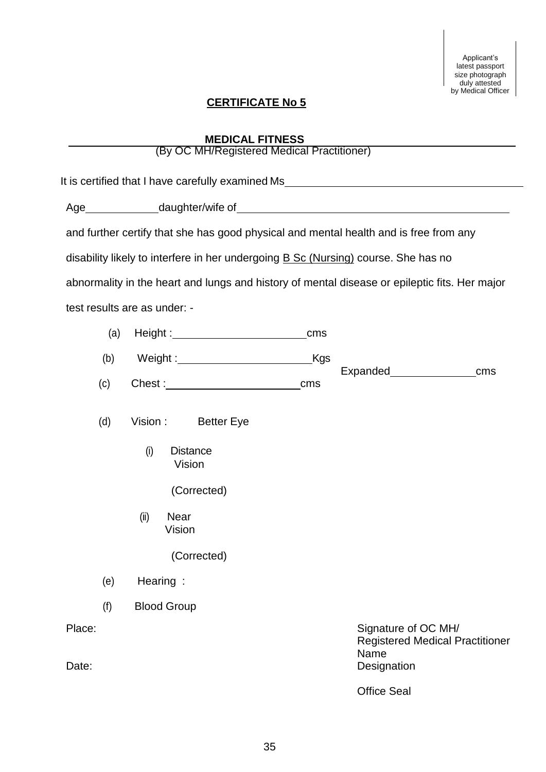Applicant's latest passport size photograph duly attested by Medical Officer

# **CERTIFICATE No 5**

# **MEDICAL FITNESS**

# (By OC MH/Registered Medical Practitioner)

|        | It is certified that I have carefully examined Ms_______________________________              |                                                               |
|--------|-----------------------------------------------------------------------------------------------|---------------------------------------------------------------|
|        |                                                                                               |                                                               |
|        | and further certify that she has good physical and mental health and is free from any         |                                                               |
|        | disability likely to interfere in her undergoing <b>B Sc (Nursing)</b> course. She has no     |                                                               |
|        | abnormality in the heart and lungs and history of mental disease or epileptic fits. Her major |                                                               |
|        | test results are as under: -                                                                  |                                                               |
| (a)    | cm <sub>S</sub>                                                                               |                                                               |
| (b)    | _Kgs<br>Weight :_________________________                                                     |                                                               |
| (c)    | cms                                                                                           | cms                                                           |
|        |                                                                                               |                                                               |
| (d)    | Vision: Better Eye                                                                            |                                                               |
|        | (i)<br><b>Distance</b><br>Vision                                                              |                                                               |
|        | (Corrected)                                                                                   |                                                               |
|        | <b>Near</b><br>(ii)<br>Vision                                                                 |                                                               |
|        | (Corrected)                                                                                   |                                                               |
|        | $(e)$ Hearing :                                                                               |                                                               |
| (f)    | <b>Blood Group</b>                                                                            |                                                               |
| Place: | Name                                                                                          | Signature of OC MH/<br><b>Registered Medical Practitioner</b> |
| Date:  |                                                                                               | Designation                                                   |
|        |                                                                                               | <b>Office Seal</b>                                            |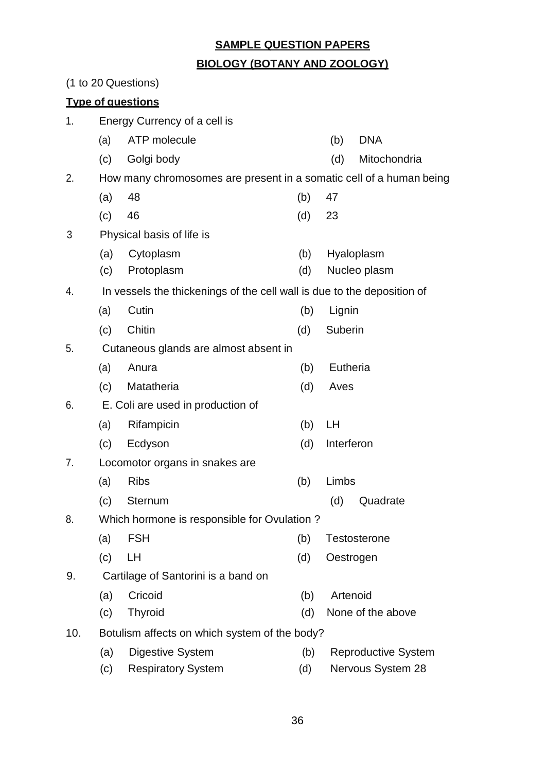### **SAMPLE QUESTION PAPERS**

### **BIOLOGY (BOTANY AND ZOOLOGY)**

(1 to 20 Questions) **Type of questions** 1. Energy Currency of a cell is (a) ATP molecule (b) DNA (c) Golgi body (d) Mitochondria 2. How many chromosomes are present in a somatic cell of a human being (a) 48 (b) 47 (c) 46 (d) 23 3 Physical basis of life is (a) Cytoplasm (c) Protoplasm (b) (d) Hyaloplasm Nucleo plasm 4. In vessels the thickenings of the cell wall is due to the deposition of (a) Cutin (b) Lignin (c) Chitin (d) Suberin 5. Cutaneous glands are almost absent in (a) Anura (b) Eutheria (c) Matatheria (d) Aves 6. E. Coli are used in production of (a) Rifampicin (b) LH (c) Ecdyson (d) Interferon 7. Locomotor organs in snakes are (a) Ribs (b) Limbs (c) Sternum (d) Quadrate 8. Which hormone is responsible for Ovulation ? (a) FSH (b) Testosterone (c) LH (d) Oestrogen 9. Cartilage of Santorini is a band on (a) Cricoid (c) Thyroid (b) (d) Artenoid None of the above 10. Botulism affects on which system of the body? (a) Digestive System (b) Reproductive System (c) Respiratory System (d) Nervous System 28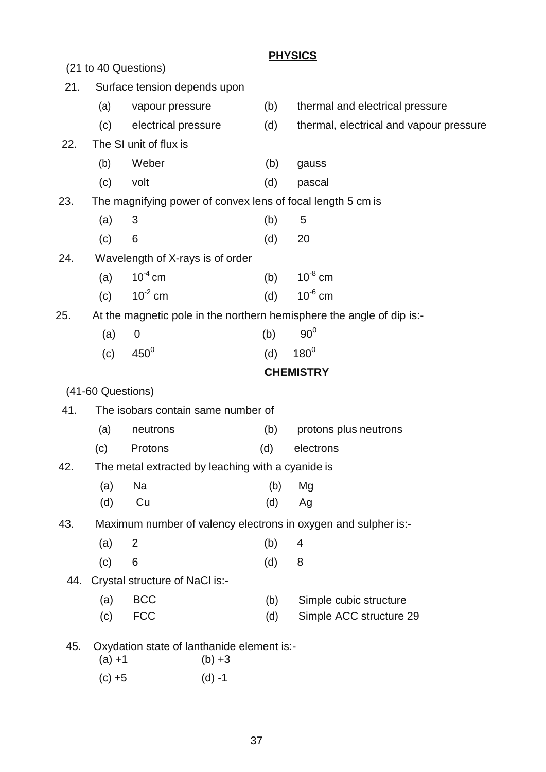|     |                                                                       |                                                   |          | <b>PHYSICS</b>                                                 |
|-----|-----------------------------------------------------------------------|---------------------------------------------------|----------|----------------------------------------------------------------|
|     |                                                                       | (21 to 40 Questions)                              |          |                                                                |
| 21. |                                                                       | Surface tension depends upon                      |          |                                                                |
|     | (a)                                                                   | vapour pressure                                   | (b)      | thermal and electrical pressure                                |
|     | (c)                                                                   | electrical pressure                               | (d)      | thermal, electrical and vapour pressure                        |
| 22. |                                                                       | The SI unit of flux is                            |          |                                                                |
|     | (b)                                                                   | Weber                                             | (b)      | gauss                                                          |
|     | (c)                                                                   | volt                                              | (d)      | pascal                                                         |
| 23. | The magnifying power of convex lens of focal length 5 cm is           |                                                   |          |                                                                |
|     | (a)                                                                   | 3                                                 | (b)      | 5                                                              |
|     | (c)                                                                   | 6                                                 | (d)      | 20                                                             |
| 24. |                                                                       | Wavelength of X-rays is of order                  |          |                                                                |
|     | (a)                                                                   | $10^{-4}$ cm                                      | (b)      | $10^{-8}$ cm                                                   |
|     | (c)                                                                   | $10^{-2}$ cm                                      | (d)      | $10^{-6}$ cm                                                   |
| 25. | At the magnetic pole in the northern hemisphere the angle of dip is:- |                                                   |          |                                                                |
|     | (a)                                                                   | 0                                                 | (b)      | 90 <sup>0</sup>                                                |
|     | (c)                                                                   | $450^0$                                           | (d)      | $180^\circ$                                                    |
|     |                                                                       |                                                   |          | <b>CHEMISTRY</b>                                               |
|     | (41-60 Questions)                                                     |                                                   |          |                                                                |
| 41. |                                                                       | The isobars contain same number of                |          |                                                                |
|     | (a)                                                                   | neutrons                                          | (b)      | protons plus neutrons                                          |
|     | (c)                                                                   | Protons                                           | (d)      | electrons                                                      |
| 42. |                                                                       | The metal extracted by leaching with a cyanide is |          |                                                                |
|     | (a)                                                                   | Na                                                | (b)      | Mg                                                             |
|     | (d)                                                                   | Cu                                                | (d)      | Ag                                                             |
| 43. |                                                                       |                                                   |          | Maximum number of valency electrons in oxygen and sulpher is:- |
|     | (a)                                                                   | $\overline{2}$                                    | (b)      | 4                                                              |
|     | (c)                                                                   | 6                                                 | (d)      | 8                                                              |
| 44. |                                                                       | Crystal structure of NaCl is:-                    |          |                                                                |
|     | (a)                                                                   | <b>BCC</b>                                        | (b)      | Simple cubic structure                                         |
|     | (c)                                                                   | <b>FCC</b>                                        | (d)      | Simple ACC structure 29                                        |
| 45. |                                                                       | Oxydation state of lanthanide element is:-        |          |                                                                |
|     | $(a) + 1$                                                             |                                                   | $(b) +3$ |                                                                |

 $(c) +5$  (d) -1